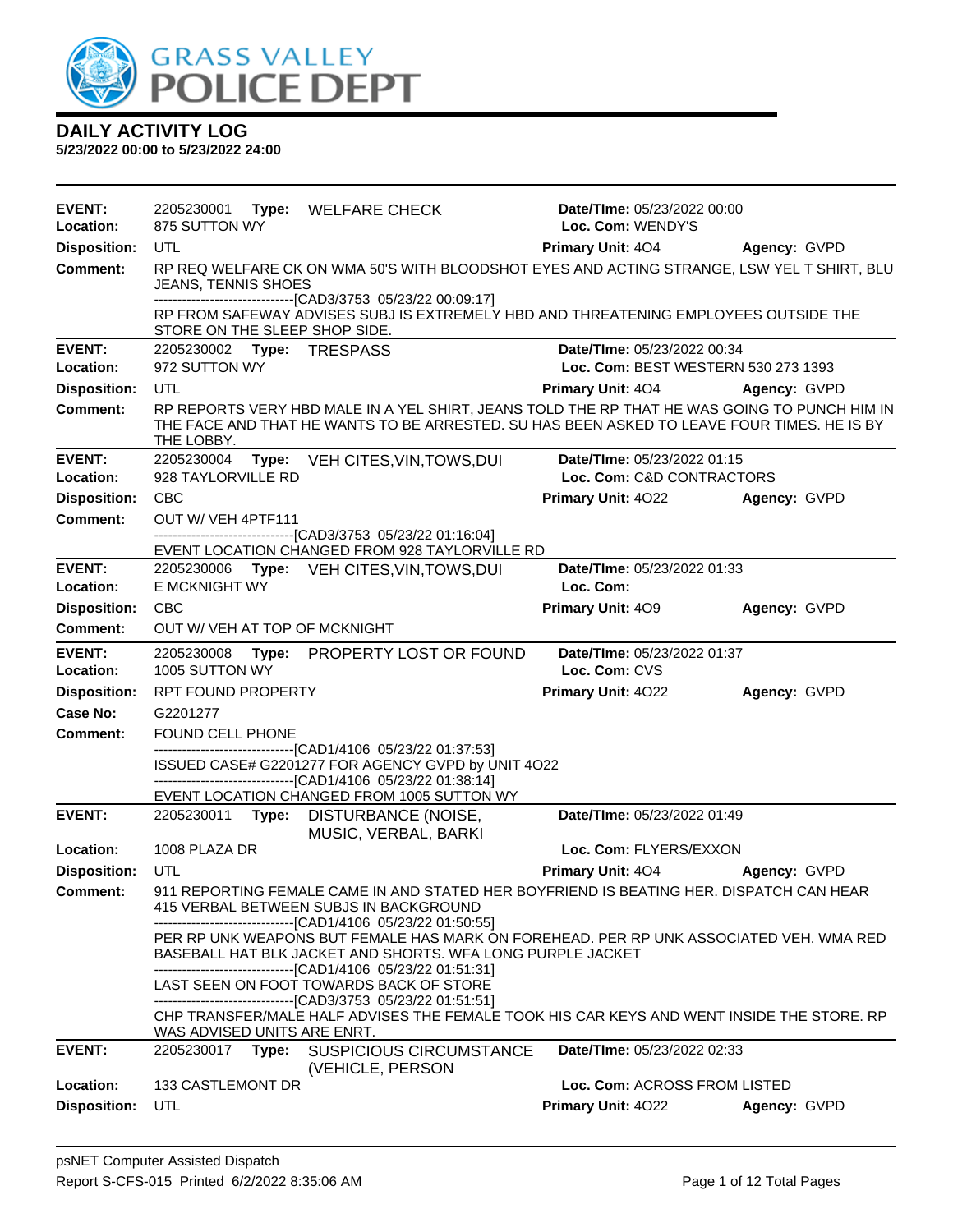

| <b>EVENT:</b><br>Location: | 2205230001<br>875 SUTTON WY        | Type: WELFARE CHECK                                                                                                                                                                                                  | Date/TIme: 05/23/2022 00:00<br>Loc. Com: WENDY'S         |              |
|----------------------------|------------------------------------|----------------------------------------------------------------------------------------------------------------------------------------------------------------------------------------------------------------------|----------------------------------------------------------|--------------|
| <b>Disposition:</b>        | UTL                                |                                                                                                                                                                                                                      | Primary Unit: 404                                        | Agency: GVPD |
| <b>Comment:</b>            | <b>JEANS, TENNIS SHOES</b>         | RP REQ WELFARE CK ON WMA 50'S WITH BLOODSHOT EYES AND ACTING STRANGE, LSW YEL T SHIRT, BLU                                                                                                                           |                                                          |              |
|                            | STORE ON THE SLEEP SHOP SIDE.      | -------------------------------[CAD3/3753 05/23/22 00:09:17]<br>RP FROM SAFEWAY ADVISES SUBJ IS EXTREMELY HBD AND THREATENING EMPLOYEES OUTSIDE THE                                                                  |                                                          |              |
| <b>EVENT:</b>              | 2205230002 Type: TRESPASS          |                                                                                                                                                                                                                      | Date/TIme: 05/23/2022 00:34                              |              |
| Location:                  | 972 SUTTON WY                      |                                                                                                                                                                                                                      | Loc. Com: BEST WESTERN 530 273 1393                      |              |
| <b>Disposition:</b>        | UTL                                |                                                                                                                                                                                                                      | <b>Primary Unit: 404</b>                                 | Agency: GVPD |
| <b>Comment:</b>            | THE LOBBY.                         | RP REPORTS VERY HBD MALE IN A YEL SHIRT, JEANS TOLD THE RP THAT HE WAS GOING TO PUNCH HIM IN<br>THE FACE AND THAT HE WANTS TO BE ARRESTED. SU HAS BEEN ASKED TO LEAVE FOUR TIMES. HE IS BY                           |                                                          |              |
| <b>EVENT:</b><br>Location: | 2205230004<br>928 TAYLORVILLE RD   | Type: VEH CITES, VIN, TOWS, DUI                                                                                                                                                                                      | Date/TIme: 05/23/2022 01:15<br>Loc. Com: C&D CONTRACTORS |              |
| <b>Disposition:</b>        | <b>CBC</b>                         |                                                                                                                                                                                                                      | Primary Unit: 4022                                       | Agency: GVPD |
| <b>Comment:</b>            | OUT W/ VEH 4PTF111                 | -------------------------[CAD3/3753 05/23/22 01:16:04]                                                                                                                                                               |                                                          |              |
|                            |                                    | EVENT LOCATION CHANGED FROM 928 TAYLORVILLE RD                                                                                                                                                                       |                                                          |              |
| <b>EVENT:</b><br>Location: | 2205230006<br><b>E MCKNIGHT WY</b> | Type: VEH CITES, VIN, TOWS, DUI                                                                                                                                                                                      | Date/TIme: 05/23/2022 01:33<br>Loc. Com:                 |              |
| <b>Disposition:</b>        | <b>CBC</b>                         |                                                                                                                                                                                                                      | Primary Unit: 409                                        | Agency: GVPD |
| <b>Comment:</b>            | OUT W/ VEH AT TOP OF MCKNIGHT      |                                                                                                                                                                                                                      |                                                          |              |
| <b>EVENT:</b><br>Location: | 2205230008<br>1005 SUTTON WY       | Type: PROPERTY LOST OR FOUND                                                                                                                                                                                         | Date/TIme: 05/23/2022 01:37<br>Loc. Com: CVS             |              |
| <b>Disposition:</b>        | RPT FOUND PROPERTY                 |                                                                                                                                                                                                                      | Primary Unit: 4022                                       | Agency: GVPD |
| <b>Case No:</b>            | G2201277                           |                                                                                                                                                                                                                      |                                                          |              |
| Comment:                   | FOUND CELL PHONE                   |                                                                                                                                                                                                                      |                                                          |              |
|                            |                                    | -------------------------------[CAD1/4106 05/23/22 01:37:53]<br>ISSUED CASE# G2201277 FOR AGENCY GVPD by UNIT 4O22                                                                                                   |                                                          |              |
|                            |                                    | -------------------------------[CAD1/4106 05/23/22 01:38:14]                                                                                                                                                         |                                                          |              |
| <b>EVENT:</b>              |                                    | EVENT LOCATION CHANGED FROM 1005 SUTTON WY                                                                                                                                                                           | Date/TIme: 05/23/2022 01:49                              |              |
|                            |                                    | 2205230011 Type: DISTURBANCE (NOISE,<br>MUSIC, VERBAL, BARKI                                                                                                                                                         |                                                          |              |
| Location:                  | 1008 PLAZA DR                      |                                                                                                                                                                                                                      | Loc. Com: FLYERS/EXXON                                   |              |
| <b>Disposition:</b>        | UTL                                |                                                                                                                                                                                                                      | <b>Primary Unit: 404</b>                                 | Agency: GVPD |
| <b>Comment:</b>            |                                    | 911 REPORTING FEMALE CAME IN AND STATED HER BOYFRIEND IS BEATING HER. DISPATCH CAN HEAR<br>415 VERBAL BETWEEN SUBJS IN BACKGROUND<br>-------------------------------[CAD1/4106 05/23/22 01:50:55]                    |                                                          |              |
|                            |                                    | PER RP UNK WEAPONS BUT FEMALE HAS MARK ON FOREHEAD. PER RP UNK ASSOCIATED VEH. WMA RED<br>BASEBALL HAT BLK JACKET AND SHORTS. WFA LONG PURPLE JACKET<br>-------------------------------[CAD1/4106 05/23/22 01:51:31] |                                                          |              |
|                            |                                    | LAST SEEN ON FOOT TOWARDS BACK OF STORE                                                                                                                                                                              |                                                          |              |
|                            | WAS ADVISED UNITS ARE ENRT.        | ---------------------------------[CAD3/3753 05/23/22 01:51:51]<br>CHP TRANSFER/MALE HALF ADVISES THE FEMALE TOOK HIS CAR KEYS AND WENT INSIDE THE STORE. RP                                                          |                                                          |              |
| <b>EVENT:</b>              |                                    | 2205230017 Type: SUSPICIOUS CIRCUMSTANCE<br>(VEHICLE, PERSON                                                                                                                                                         | Date/TIme: 05/23/2022 02:33                              |              |
| Location:                  | 133 CASTLEMONT DR                  |                                                                                                                                                                                                                      | Loc. Com: ACROSS FROM LISTED                             |              |
| <b>Disposition:</b>        | UTL                                |                                                                                                                                                                                                                      | Primary Unit: 4022                                       | Agency: GVPD |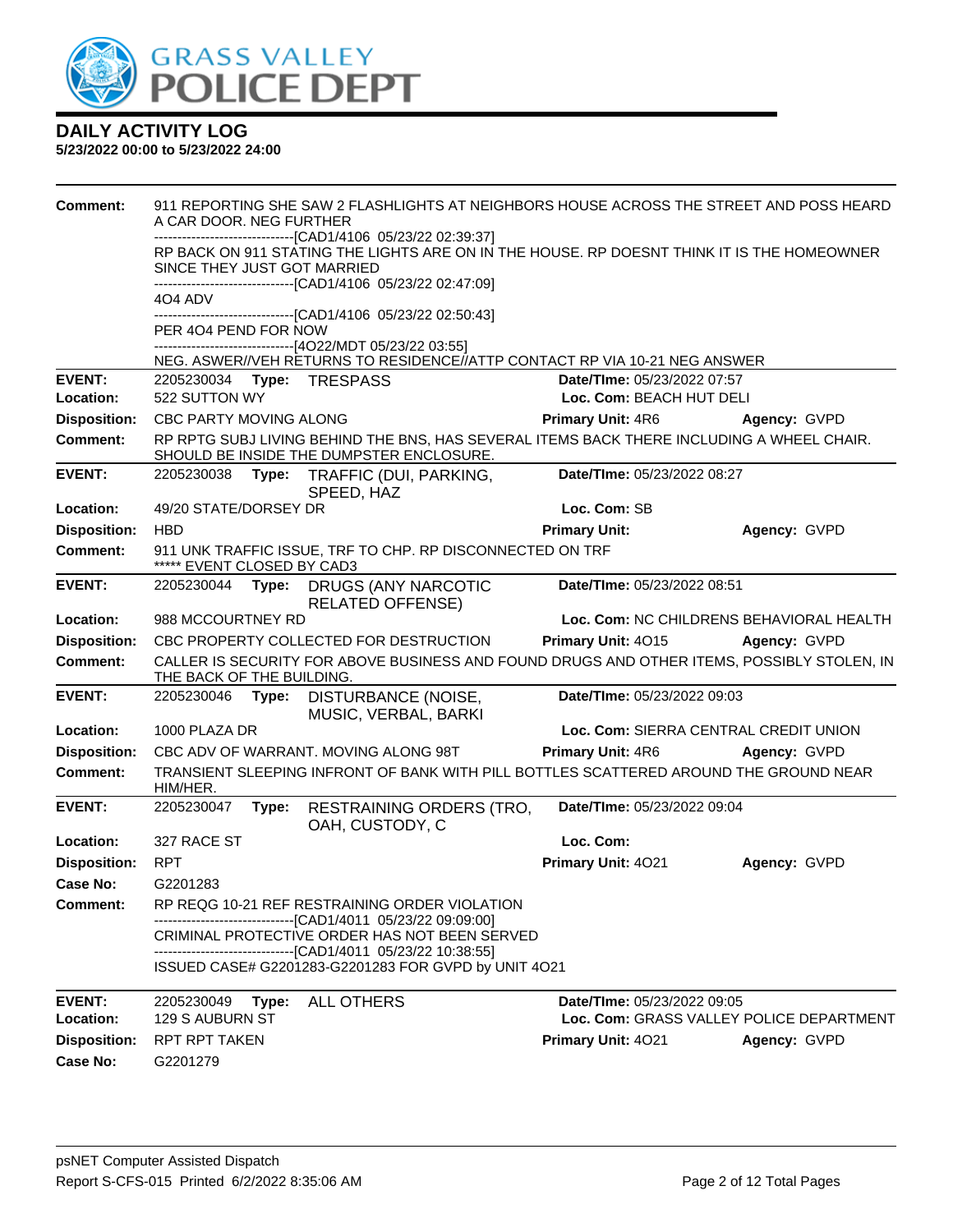

| <b>Comment:</b>     |                                                                                         | 911 REPORTING SHE SAW 2 FLASHLIGHTS AT NEIGHBORS HOUSE ACROSS THE STREET AND POSS HEARD<br>A CAR DOOR. NEG FURTHER |                                                                                                                                       |  |                             |                                                                                            |
|---------------------|-----------------------------------------------------------------------------------------|--------------------------------------------------------------------------------------------------------------------|---------------------------------------------------------------------------------------------------------------------------------------|--|-----------------------------|--------------------------------------------------------------------------------------------|
|                     |                                                                                         |                                                                                                                    | -----------------------[CAD1/4106 05/23/22 02:39:37]                                                                                  |  |                             |                                                                                            |
|                     | SINCE THEY JUST GOT MARRIED                                                             |                                                                                                                    | RP BACK ON 911 STATING THE LIGHTS ARE ON IN THE HOUSE. RP DOESNT THINK IT IS THE HOMEOWNER                                            |  |                             |                                                                                            |
|                     |                                                                                         |                                                                                                                    | -------------------------[CAD1/4106 05/23/22 02:47:09]                                                                                |  |                             |                                                                                            |
|                     | 4O4 ADV                                                                                 |                                                                                                                    |                                                                                                                                       |  |                             |                                                                                            |
|                     | PER 404 PEND FOR NOW                                                                    |                                                                                                                    | -------------------------------[CAD1/4106 05/23/22 02:50:43]                                                                          |  |                             |                                                                                            |
|                     |                                                                                         |                                                                                                                    | ------------------------------[4O22/MDT 05/23/22 03:55]                                                                               |  |                             |                                                                                            |
|                     |                                                                                         |                                                                                                                    | NEG. ASWER//VEH RETURNS TO RESIDENCE//ATTP CONTACT RP VIA 10-21 NEG ANSWER                                                            |  |                             |                                                                                            |
| <b>EVENT:</b>       | 2205230034                                                                              |                                                                                                                    | Type: TRESPASS                                                                                                                        |  | Date/TIme: 05/23/2022 07:57 |                                                                                            |
| Location:           | 522 SUTTON WY                                                                           |                                                                                                                    |                                                                                                                                       |  | Loc. Com: BEACH HUT DELI    |                                                                                            |
| <b>Disposition:</b> | CBC PARTY MOVING ALONG                                                                  |                                                                                                                    |                                                                                                                                       |  | <b>Primary Unit: 4R6</b>    | Agency: GVPD                                                                               |
| <b>Comment:</b>     |                                                                                         |                                                                                                                    | RP RPTG SUBJ LIVING BEHIND THE BNS, HAS SEVERAL ITEMS BACK THERE INCLUDING A WHEEL CHAIR.<br>SHOULD BE INSIDE THE DUMPSTER ENCLOSURE. |  |                             |                                                                                            |
| <b>EVENT:</b>       | 2205230038                                                                              | Type:                                                                                                              | TRAFFIC (DUI, PARKING,<br>SPEED, HAZ                                                                                                  |  | Date/TIme: 05/23/2022 08:27 |                                                                                            |
| Location:           | 49/20 STATE/DORSEY DR                                                                   |                                                                                                                    |                                                                                                                                       |  | Loc. Com: SB                |                                                                                            |
| <b>Disposition:</b> | <b>HBD</b>                                                                              |                                                                                                                    |                                                                                                                                       |  | <b>Primary Unit:</b>        | Agency: GVPD                                                                               |
| <b>Comment:</b>     | 911 UNK TRAFFIC ISSUE, TRF TO CHP. RP DISCONNECTED ON TRF<br>***** EVENT CLOSED BY CAD3 |                                                                                                                    |                                                                                                                                       |  |                             |                                                                                            |
| <b>EVENT:</b>       | 2205230044                                                                              | Type:                                                                                                              | <b>DRUGS (ANY NARCOTIC</b><br><b>RELATED OFFENSE)</b>                                                                                 |  | Date/TIme: 05/23/2022 08:51 |                                                                                            |
| Location:           | 988 MCCOURTNEY RD                                                                       |                                                                                                                    |                                                                                                                                       |  |                             | Loc. Com: NC CHILDRENS BEHAVIORAL HEALTH                                                   |
| <b>Disposition:</b> |                                                                                         |                                                                                                                    | CBC PROPERTY COLLECTED FOR DESTRUCTION                                                                                                |  | Primary Unit: 4015          | Agency: GVPD                                                                               |
| <b>Comment:</b>     | THE BACK OF THE BUILDING.                                                               |                                                                                                                    |                                                                                                                                       |  |                             | CALLER IS SECURITY FOR ABOVE BUSINESS AND FOUND DRUGS AND OTHER ITEMS, POSSIBLY STOLEN, IN |
| <b>EVENT:</b>       | 2205230046                                                                              | Type:                                                                                                              | DISTURBANCE (NOISE,<br>MUSIC, VERBAL, BARKI                                                                                           |  | Date/TIme: 05/23/2022 09:03 |                                                                                            |
| Location:           | 1000 PLAZA DR                                                                           |                                                                                                                    |                                                                                                                                       |  |                             | Loc. Com: SIERRA CENTRAL CREDIT UNION                                                      |
| <b>Disposition:</b> |                                                                                         |                                                                                                                    | CBC ADV OF WARRANT. MOVING ALONG 98T                                                                                                  |  | <b>Primary Unit: 4R6</b>    | Agency: GVPD                                                                               |
| <b>Comment:</b>     | HIM/HER.                                                                                |                                                                                                                    | TRANSIENT SLEEPING INFRONT OF BANK WITH PILL BOTTLES SCATTERED AROUND THE GROUND NEAR                                                 |  |                             |                                                                                            |
| <b>EVENT:</b>       | 2205230047                                                                              | Type:                                                                                                              | <b>RESTRAINING ORDERS (TRO,</b><br>OAH, CUSTODY, C                                                                                    |  | Date/TIme: 05/23/2022 09:04 |                                                                                            |
| Location:           | 327 RACE ST                                                                             |                                                                                                                    |                                                                                                                                       |  | Loc. Com:                   |                                                                                            |
| <b>Disposition:</b> | <b>RPT</b>                                                                              |                                                                                                                    |                                                                                                                                       |  | Primary Unit: 4021          | Agency: GVPD                                                                               |
| Case No:            | G2201283                                                                                |                                                                                                                    |                                                                                                                                       |  |                             |                                                                                            |
| <b>Comment:</b>     |                                                                                         |                                                                                                                    | RP REQG 10-21 REF RESTRAINING ORDER VIOLATION                                                                                         |  |                             |                                                                                            |
|                     |                                                                                         |                                                                                                                    | -------------------------------[CAD1/4011 05/23/22 09:09:00]<br>CRIMINAL PROTECTIVE ORDER HAS NOT BEEN SERVED                         |  |                             |                                                                                            |
|                     |                                                                                         |                                                                                                                    | -------------------------------[CAD1/4011 05/23/22 10:38:55]                                                                          |  |                             |                                                                                            |
|                     |                                                                                         |                                                                                                                    | ISSUED CASE# G2201283-G2201283 FOR GVPD by UNIT 4O21                                                                                  |  |                             |                                                                                            |
| <b>EVENT:</b>       | 2205230049                                                                              |                                                                                                                    | Type: ALL OTHERS                                                                                                                      |  | Date/TIme: 05/23/2022 09:05 |                                                                                            |
| Location:           | 129 S AUBURN ST                                                                         |                                                                                                                    |                                                                                                                                       |  |                             | Loc. Com: GRASS VALLEY POLICE DEPARTMENT                                                   |
| <b>Disposition:</b> | RPT RPT TAKEN                                                                           |                                                                                                                    |                                                                                                                                       |  | Primary Unit: 4021          | Agency: GVPD                                                                               |
| Case No:            | G2201279                                                                                |                                                                                                                    |                                                                                                                                       |  |                             |                                                                                            |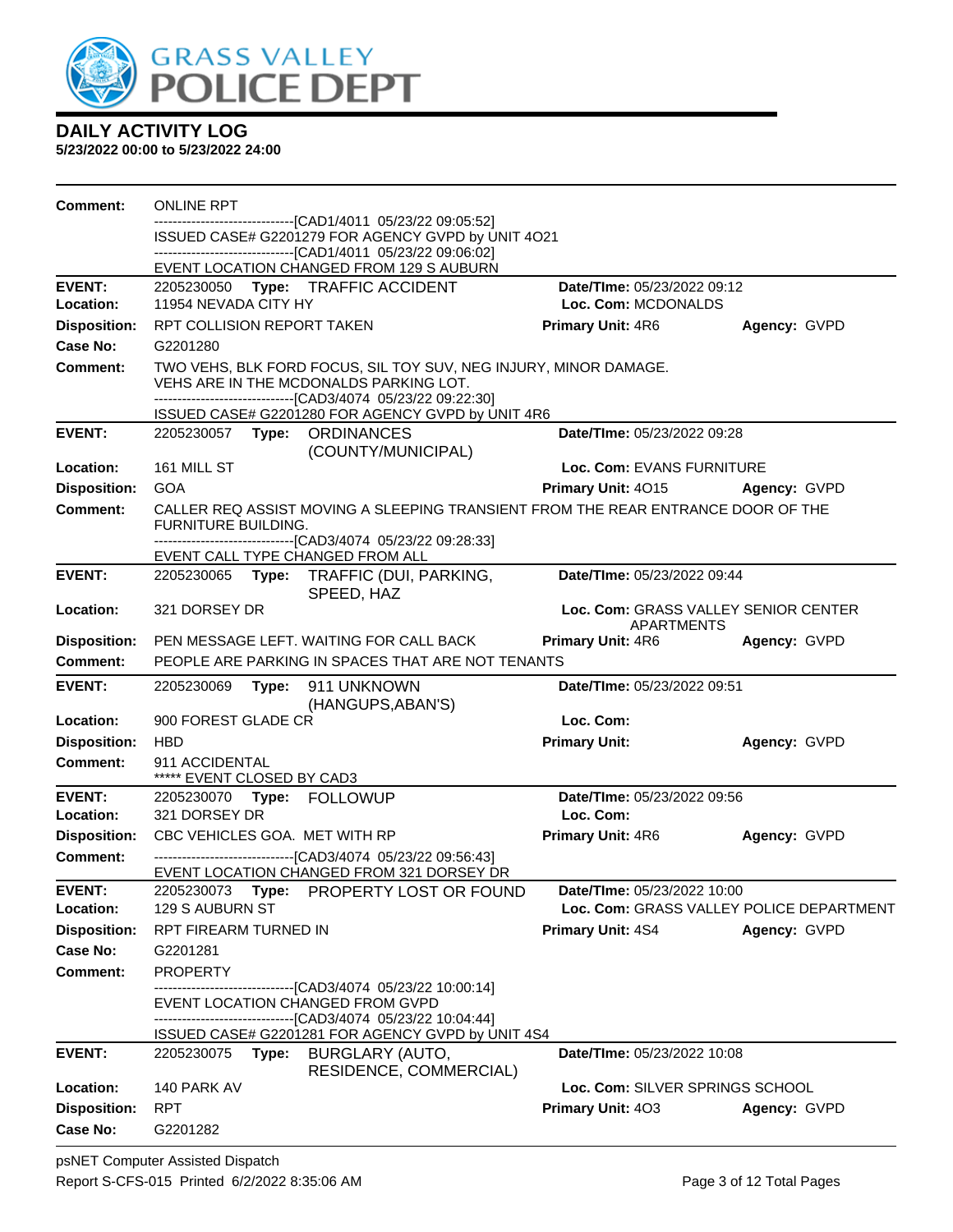

| Comment:                        | <b>ONLINE RPT</b>                                  |       |                                                                                                                      |                                                 |              |
|---------------------------------|----------------------------------------------------|-------|----------------------------------------------------------------------------------------------------------------------|-------------------------------------------------|--------------|
|                                 |                                                    |       | ---------------------------------[CAD1/4011 05/23/22 09:05:52]<br>ISSUED CASE# G2201279 FOR AGENCY GVPD by UNIT 4O21 |                                                 |              |
|                                 |                                                    |       | -------------------------------[CAD1/4011 05/23/22 09:06:02]                                                         |                                                 |              |
|                                 |                                                    |       | EVENT LOCATION CHANGED FROM 129 S AUBURN                                                                             |                                                 |              |
| <b>EVENT:</b>                   |                                                    |       | 2205230050 Type: TRAFFIC ACCIDENT                                                                                    | Date/TIme: 05/23/2022 09:12                     |              |
| Location:                       | 11954 NEVADA CITY HY<br>RPT COLLISION REPORT TAKEN |       |                                                                                                                      | Loc. Com: MCDONALDS<br><b>Primary Unit: 4R6</b> |              |
| <b>Disposition:</b><br>Case No: | G2201280                                           |       |                                                                                                                      |                                                 | Agency: GVPD |
| <b>Comment:</b>                 |                                                    |       | TWO VEHS, BLK FORD FOCUS, SIL TOY SUV, NEG INJURY, MINOR DAMAGE.                                                     |                                                 |              |
|                                 |                                                    |       | VEHS ARE IN THE MCDONALDS PARKING LOT.<br>--------------------------------[CAD3/4074 05/23/22 09:22:30]              |                                                 |              |
|                                 |                                                    |       | ISSUED CASE# G2201280 FOR AGENCY GVPD by UNIT 4R6                                                                    |                                                 |              |
| <b>EVENT:</b>                   |                                                    |       | 2205230057 Type: ORDINANCES<br>(COUNTY/MUNICIPAL)                                                                    | Date/TIme: 05/23/2022 09:28                     |              |
| Location:                       | 161 MILL ST                                        |       |                                                                                                                      | Loc. Com: EVANS FURNITURE                       |              |
| <b>Disposition:</b>             | <b>GOA</b>                                         |       |                                                                                                                      | Primary Unit: 4015 Agency: GVPD                 |              |
| <b>Comment:</b>                 | <b>FURNITURE BUILDING.</b>                         |       | CALLER REQ ASSIST MOVING A SLEEPING TRANSIENT FROM THE REAR ENTRANCE DOOR OF THE                                     |                                                 |              |
|                                 |                                                    |       | -------------------------------[CAD3/4074 05/23/22 09:28:33]<br>EVENT CALL TYPE CHANGED FROM ALL                     |                                                 |              |
| <b>EVENT:</b>                   |                                                    |       | 2205230065 Type: TRAFFIC (DUI, PARKING,<br>SPEED, HAZ                                                                | Date/TIme: 05/23/2022 09:44                     |              |
| <b>Location:</b>                | 321 DORSEY DR                                      |       | Loc. Com: GRASS VALLEY SENIOR CENTER<br>APARTMENTS                                                                   |                                                 |              |
| <b>Disposition:</b>             |                                                    |       | PEN MESSAGE LEFT. WAITING FOR CALL BACK                                                                              | <b>Primary Unit: 4R6</b>                        | Agency: GVPD |
| <b>Comment:</b>                 |                                                    |       | PEOPLE ARE PARKING IN SPACES THAT ARE NOT TENANTS                                                                    |                                                 |              |
| <b>EVENT:</b>                   | 2205230069                                         |       | Type: 911 UNKNOWN<br>(HANGUPS, ABAN'S)                                                                               | Date/TIme: 05/23/2022 09:51                     |              |
| Location:                       | 900 FOREST GLADE CR                                |       |                                                                                                                      | Loc. Com:                                       |              |
| <b>Disposition:</b>             | <b>HBD</b>                                         |       |                                                                                                                      | <b>Primary Unit:</b>                            | Agency: GVPD |
| <b>Comment:</b>                 | 911 ACCIDENTAL<br>***** EVENT CLOSED BY CAD3       |       |                                                                                                                      |                                                 |              |
| <b>EVENT:</b>                   |                                                    |       | 2205230070 Type: FOLLOWUP                                                                                            | Date/TIme: 05/23/2022 09:56                     |              |
| Location:                       | 321 DORSEY DR                                      |       |                                                                                                                      | Loc. Com:                                       |              |
| <b>Disposition:</b>             |                                                    |       | CBC VEHICLES GOA. MET WITH RP                                                                                        | <b>Primary Unit: 4R6</b>                        | Agency: GVPD |
| Comment:                        |                                                    |       | --------------------------------[CAD3/4074 05/23/22 09:56:43]<br>EVENT LOCATION CHANGED FROM 321 DORSEY DR           |                                                 |              |
| <b>EVENT:</b>                   |                                                    |       | 2205230073 Type: PROPERTY LOST OR FOUND                                                                              | Date/TIme: 05/23/2022 10:00                     |              |
| Location:                       | 129 S AUBURN ST                                    |       |                                                                                                                      | Loc. Com: GRASS VALLEY POLICE DEPARTMENT        |              |
| <b>Disposition:</b>             | <b>RPT FIREARM TURNED IN</b>                       |       |                                                                                                                      | <b>Primary Unit: 4S4</b>                        | Agency: GVPD |
| Case No:                        | G2201281                                           |       |                                                                                                                      |                                                 |              |
| Comment:                        | <b>PROPERTY</b>                                    |       |                                                                                                                      |                                                 |              |
|                                 |                                                    |       | -------------------------[CAD3/4074_05/23/22 10:00:14]<br>EVENT LOCATION CHANGED FROM GVPD                           |                                                 |              |
|                                 |                                                    |       | ------------------------------[CAD3/4074_05/23/22 10:04:44]                                                          |                                                 |              |
|                                 |                                                    |       | ISSUED CASE# G2201281 FOR AGENCY GVPD by UNIT 4S4                                                                    |                                                 |              |
| <b>EVENT:</b>                   | 2205230075                                         | Type: | BURGLARY (AUTO,<br>RESIDENCE, COMMERCIAL)                                                                            | Date/TIme: 05/23/2022 10:08                     |              |
| Location:                       | 140 PARK AV                                        |       |                                                                                                                      | Loc. Com: SILVER SPRINGS SCHOOL                 |              |
| <b>Disposition:</b>             | <b>RPT</b>                                         |       |                                                                                                                      | <b>Primary Unit: 403</b>                        | Agency: GVPD |
| Case No:                        | G2201282                                           |       |                                                                                                                      |                                                 |              |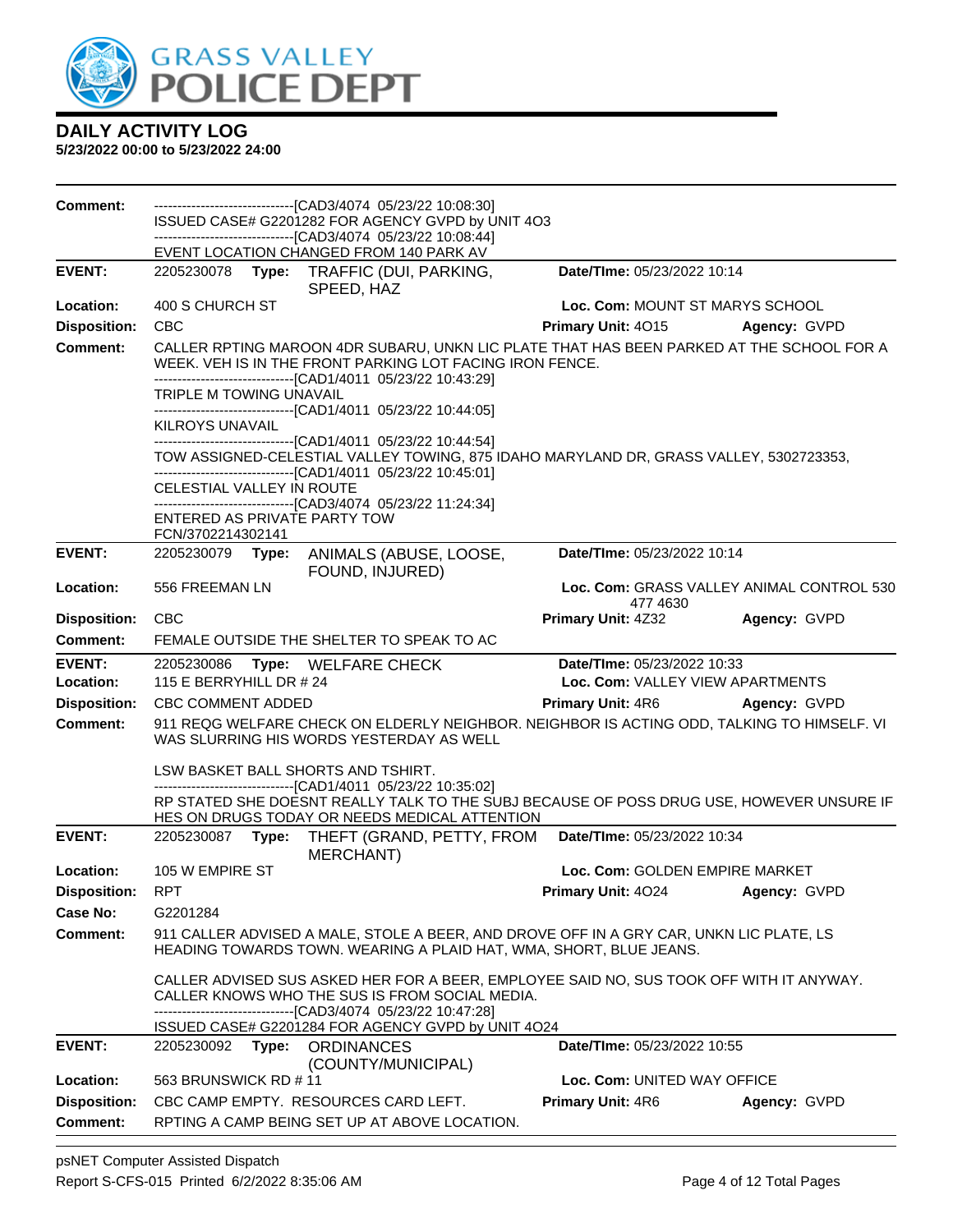

**5/23/2022 00:00 to 5/23/2022 24:00**

| <b>Comment:</b>     | -------------------------------[CAD3/4074_05/23/22_10:08:30]<br>ISSUED CASE# G2201282 FOR AGENCY GVPD by UNIT 4O3                                                                                                                                               |                                                                                        |              |  |  |
|---------------------|-----------------------------------------------------------------------------------------------------------------------------------------------------------------------------------------------------------------------------------------------------------------|----------------------------------------------------------------------------------------|--------------|--|--|
|                     | --------------------------------[CAD3/4074 05/23/22 10:08:44]                                                                                                                                                                                                   |                                                                                        |              |  |  |
| <b>EVENT:</b>       | EVENT LOCATION CHANGED FROM 140 PARK AV<br>2205230078 Type: TRAFFIC (DUI, PARKING,                                                                                                                                                                              | Date/TIme: 05/23/2022 10:14                                                            |              |  |  |
|                     | SPEED, HAZ                                                                                                                                                                                                                                                      |                                                                                        |              |  |  |
| Location:           | 400 S CHURCH ST                                                                                                                                                                                                                                                 | Loc. Com: MOUNT ST MARYS SCHOOL                                                        |              |  |  |
| <b>Disposition:</b> | <b>CBC</b>                                                                                                                                                                                                                                                      | Primary Unit: 4015                                                                     | Agency: GVPD |  |  |
| <b>Comment:</b>     | CALLER RPTING MAROON 4DR SUBARU, UNKN LIC PLATE THAT HAS BEEN PARKED AT THE SCHOOL FOR A<br>WEEK. VEH IS IN THE FRONT PARKING LOT FACING IRON FENCE.<br>-------------------------------[CAD1/4011 05/23/22 10:43:29]<br>TRIPLE M TOWING UNAVAIL                 |                                                                                        |              |  |  |
|                     | -------------------------[CAD1/4011_05/23/22_10:44:05]<br>KILROYS UNAVAIL                                                                                                                                                                                       |                                                                                        |              |  |  |
|                     | -------------------------------[CAD1/4011 05/23/22 10:44:54]<br>-------------------------------[CAD1/4011 05/23/22 10:45:01]                                                                                                                                    | TOW ASSIGNED-CELESTIAL VALLEY TOWING, 875 IDAHO MARYLAND DR, GRASS VALLEY, 5302723353, |              |  |  |
|                     | CELESTIAL VALLEY IN ROUTE                                                                                                                                                                                                                                       |                                                                                        |              |  |  |
|                     | -------------------------------[CAD3/4074 05/23/22 11:24:34]<br>ENTERED AS PRIVATE PARTY TOW<br>FCN/3702214302141                                                                                                                                               |                                                                                        |              |  |  |
| <b>EVENT:</b>       | 2205230079 Type:<br>ANIMALS (ABUSE, LOOSE,<br>FOUND, INJURED)                                                                                                                                                                                                   | Date/TIme: 05/23/2022 10:14                                                            |              |  |  |
| Location:           | 556 FREEMAN LN                                                                                                                                                                                                                                                  | Loc. Com: GRASS VALLEY ANIMAL CONTROL 530<br>477 4630                                  |              |  |  |
| <b>Disposition:</b> | <b>CBC</b>                                                                                                                                                                                                                                                      | Primary Unit: 4Z32                                                                     | Agency: GVPD |  |  |
| <b>Comment:</b>     | FEMALE OUTSIDE THE SHELTER TO SPEAK TO AC                                                                                                                                                                                                                       |                                                                                        |              |  |  |
| <b>EVENT:</b>       | 2205230086<br>Type: WELFARE CHECK                                                                                                                                                                                                                               | Date/TIme: 05/23/2022 10:33                                                            |              |  |  |
| Location:           | 115 E BERRYHILL DR # 24                                                                                                                                                                                                                                         | Loc. Com: VALLEY VIEW APARTMENTS                                                       |              |  |  |
| <b>Disposition:</b> | CBC COMMENT ADDED                                                                                                                                                                                                                                               | <b>Primary Unit: 4R6</b>                                                               | Agency: GVPD |  |  |
| <b>Comment:</b>     | 911 REQG WELFARE CHECK ON ELDERLY NEIGHBOR. NEIGHBOR IS ACTING ODD, TALKING TO HIMSELF. VI<br>WAS SLURRING HIS WORDS YESTERDAY AS WELL                                                                                                                          |                                                                                        |              |  |  |
|                     | LSW BASKET BALL SHORTS AND TSHIRT.                                                                                                                                                                                                                              |                                                                                        |              |  |  |
|                     | ------------------------------[CAD1/4011 05/23/22 10:35:02]<br>RP STATED SHE DOESNT REALLY TALK TO THE SUBJ BECAUSE OF POSS DRUG USE, HOWEVER UNSURE IF<br>HES ON DRUGS TODAY OR NEEDS MEDICAL ATTENTION                                                        |                                                                                        |              |  |  |
| <b>EVENT:</b>       | 2205230087<br>Type:<br>THEFT (GRAND, PETTY, FROM<br>MERCHANT)                                                                                                                                                                                                   | Date/TIme: 05/23/2022 10:34                                                            |              |  |  |
| Location:           | 105 W EMPIRE ST                                                                                                                                                                                                                                                 | Loc. Com: GOLDEN EMPIRE MARKET                                                         |              |  |  |
| <b>Disposition:</b> | <b>RPT</b>                                                                                                                                                                                                                                                      | <b>Primary Unit: 4024</b>                                                              | Agency: GVPD |  |  |
| Case No:            | G2201284                                                                                                                                                                                                                                                        |                                                                                        |              |  |  |
| <b>Comment:</b>     | 911 CALLER ADVISED A MALE, STOLE A BEER, AND DROVE OFF IN A GRY CAR, UNKN LIC PLATE, LS<br>HEADING TOWARDS TOWN. WEARING A PLAID HAT, WMA, SHORT, BLUE JEANS.                                                                                                   |                                                                                        |              |  |  |
|                     | CALLER ADVISED SUS ASKED HER FOR A BEER, EMPLOYEE SAID NO, SUS TOOK OFF WITH IT ANYWAY.<br>CALLER KNOWS WHO THE SUS IS FROM SOCIAL MEDIA.<br>-------------------------------[CAD3/4074_05/23/22 10:47:28]<br>ISSUED CASE# G2201284 FOR AGENCY GVPD by UNIT 4O24 |                                                                                        |              |  |  |
| <b>EVENT:</b>       | 2205230092 Type: ORDINANCES<br>(COUNTY/MUNICIPAL)                                                                                                                                                                                                               | Date/TIme: 05/23/2022 10:55                                                            |              |  |  |
| Location:           | 563 BRUNSWICK RD #11                                                                                                                                                                                                                                            | Loc. Com: UNITED WAY OFFICE                                                            |              |  |  |
| <b>Disposition:</b> | CBC CAMP EMPTY. RESOURCES CARD LEFT.                                                                                                                                                                                                                            | <b>Primary Unit: 4R6</b>                                                               | Agency: GVPD |  |  |
| <b>Comment:</b>     | RPTING A CAMP BEING SET UP AT ABOVE LOCATION.                                                                                                                                                                                                                   |                                                                                        |              |  |  |

psNET Computer Assisted Dispatch Report S-CFS-015 Printed 6/2/2022 8:35:06 AM Page 4 of 12 Total Pages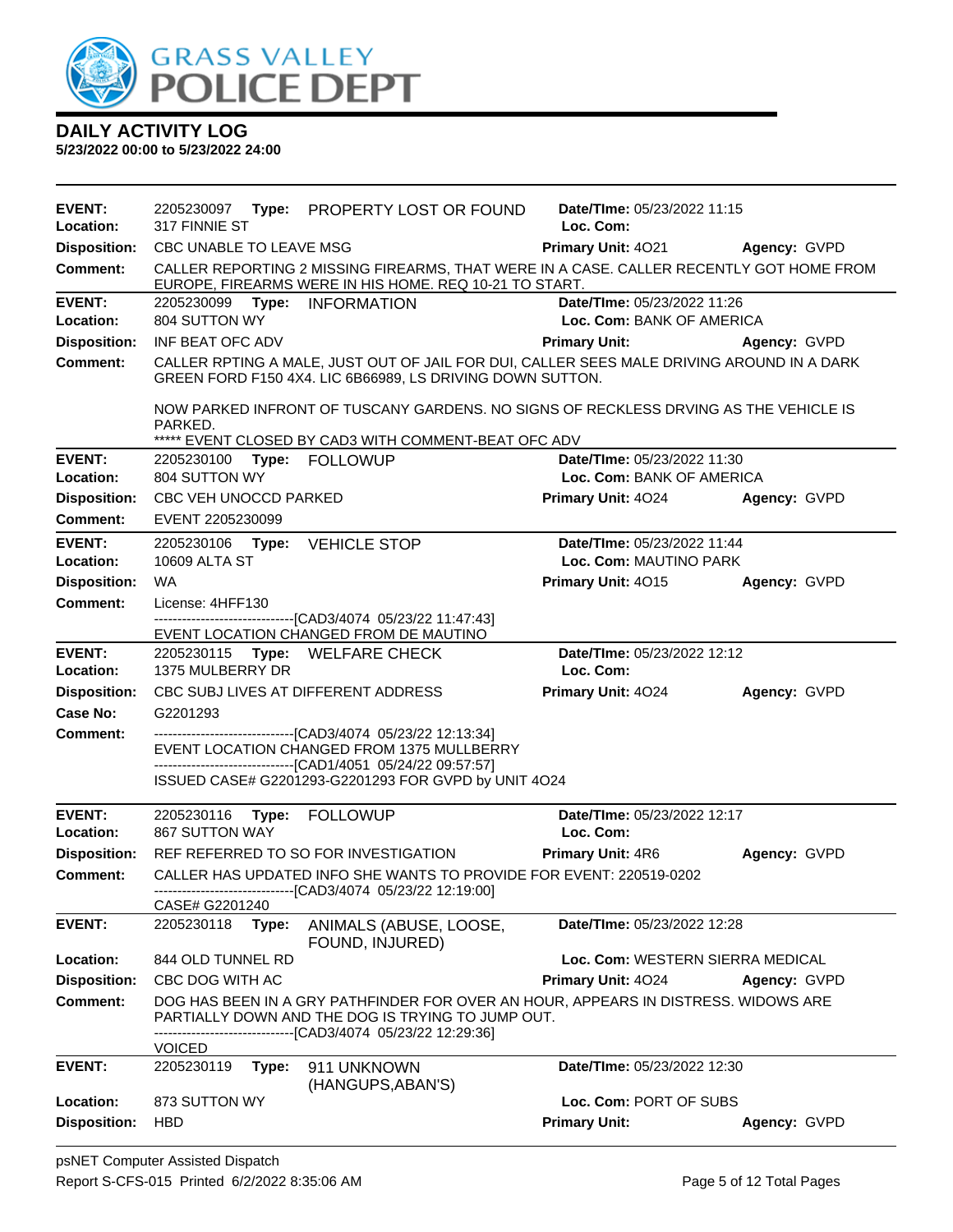

| <b>EVENT:</b>              | 2205230097 Type: PROPERTY LOST OR FOUND                                                                                                                                                 | Date/TIme: 05/23/2022 11:15      |              |  |  |  |
|----------------------------|-----------------------------------------------------------------------------------------------------------------------------------------------------------------------------------------|----------------------------------|--------------|--|--|--|
| Location:                  | 317 FINNIE ST                                                                                                                                                                           | Loc. Com:                        |              |  |  |  |
| <b>Disposition:</b>        | CBC UNABLE TO LEAVE MSG                                                                                                                                                                 | Primary Unit: 4021 Agency: GVPD  |              |  |  |  |
| <b>Comment:</b>            | CALLER REPORTING 2 MISSING FIREARMS, THAT WERE IN A CASE. CALLER RECENTLY GOT HOME FROM<br>EUROPE, FIREARMS WERE IN HIS HOME. REQ 10-21 TO START.                                       |                                  |              |  |  |  |
| <b>EVENT:</b>              | 2205230099 Type: INFORMATION                                                                                                                                                            | Date/TIme: 05/23/2022 11:26      |              |  |  |  |
| Location:                  | 804 SUTTON WY                                                                                                                                                                           | Loc. Com: BANK OF AMERICA        |              |  |  |  |
| <b>Disposition:</b>        | INF BEAT OFC ADV                                                                                                                                                                        | <b>Primary Unit:</b>             | Agency: GVPD |  |  |  |
| <b>Comment:</b>            | CALLER RPTING A MALE, JUST OUT OF JAIL FOR DUI, CALLER SEES MALE DRIVING AROUND IN A DARK<br>GREEN FORD F150 4X4. LIC 6B66989, LS DRIVING DOWN SUTTON.                                  |                                  |              |  |  |  |
|                            | NOW PARKED INFRONT OF TUSCANY GARDENS. NO SIGNS OF RECKLESS DRVING AS THE VEHICLE IS<br>PARKED.<br>***** EVENT CLOSED BY CAD3 WITH COMMENT-BEAT OFC ADV                                 |                                  |              |  |  |  |
| <b>EVENT:</b>              | 2205230100 Type: FOLLOWUP                                                                                                                                                               | Date/TIme: 05/23/2022 11:30      |              |  |  |  |
| Location:                  | 804 SUTTON WY                                                                                                                                                                           | Loc. Com: BANK OF AMERICA        |              |  |  |  |
| <b>Disposition:</b>        | CBC VEH UNOCCD PARKED                                                                                                                                                                   | <b>Primary Unit: 4024</b>        | Agency: GVPD |  |  |  |
| <b>Comment:</b>            | EVENT 2205230099                                                                                                                                                                        |                                  |              |  |  |  |
| <b>EVENT:</b><br>Location: | Date/TIme: 05/23/2022 11:44<br>Type: VEHICLE STOP<br>2205230106<br>10609 ALTA ST<br>Loc. Com: MAUTINO PARK                                                                              |                                  |              |  |  |  |
| <b>Disposition:</b>        | <b>WA</b>                                                                                                                                                                               | Primary Unit: 4015               | Agency: GVPD |  |  |  |
| Comment:                   | License: 4HFF130                                                                                                                                                                        |                                  |              |  |  |  |
|                            | --------------------------------[CAD3/4074_05/23/22 11:47:43]<br>EVENT LOCATION CHANGED FROM DE MAUTINO                                                                                 |                                  |              |  |  |  |
| <b>EVENT:</b>              | 2205230115 Type: WELFARE CHECK                                                                                                                                                          | Date/TIme: 05/23/2022 12:12      |              |  |  |  |
| Location:                  | 1375 MULBERRY DR                                                                                                                                                                        | Loc. Com:                        |              |  |  |  |
| <b>Disposition:</b>        | CBC SUBJ LIVES AT DIFFERENT ADDRESS                                                                                                                                                     | Primary Unit: 4024               | Agency: GVPD |  |  |  |
| Case No:                   | G2201293                                                                                                                                                                                |                                  |              |  |  |  |
| <b>Comment:</b>            | --------------------------------[CAD3/4074 05/23/22 12:13:34]                                                                                                                           |                                  |              |  |  |  |
|                            | EVENT LOCATION CHANGED FROM 1375 MULLBERRY<br>-------------------------------[CAD1/4051 05/24/22 09:57:57]                                                                              |                                  |              |  |  |  |
|                            | ISSUED CASE# G2201293-G2201293 FOR GVPD by UNIT 4O24                                                                                                                                    |                                  |              |  |  |  |
| <b>EVENT:</b>              | 2205230116<br>Type: FOLLOWUP                                                                                                                                                            | Date/TIme: 05/23/2022 12:17      |              |  |  |  |
| Location:                  | <b>867 SUTTON WAY</b>                                                                                                                                                                   | Loc. Com:                        |              |  |  |  |
| <b>Disposition:</b>        | REF REFERRED TO SO FOR INVESTIGATION                                                                                                                                                    | <b>Primary Unit: 4R6</b>         | Agency: GVPD |  |  |  |
| <b>Comment:</b>            | CALLER HAS UPDATED INFO SHE WANTS TO PROVIDE FOR EVENT: 220519-0202                                                                                                                     |                                  |              |  |  |  |
|                            | -------------------------[CAD3/4074 05/23/22 12:19:00]<br>CASE# G2201240                                                                                                                |                                  |              |  |  |  |
| <b>EVENT:</b>              | 2205230118<br>ANIMALS (ABUSE, LOOSE,<br>Type:<br>FOUND, INJURED)                                                                                                                        | Date/TIme: 05/23/2022 12:28      |              |  |  |  |
| Location:                  | 844 OLD TUNNEL RD                                                                                                                                                                       | Loc. Com: WESTERN SIERRA MEDICAL |              |  |  |  |
| <b>Disposition:</b>        | CBC DOG WITH AC                                                                                                                                                                         | <b>Primary Unit: 4024</b>        | Agency: GVPD |  |  |  |
| Comment:                   | DOG HAS BEEN IN A GRY PATHFINDER FOR OVER AN HOUR, APPEARS IN DISTRESS. WIDOWS ARE<br>PARTIALLY DOWN AND THE DOG IS TRYING TO JUMP OUT.<br>---------------[CAD3/4074_05/23/22 12:29:36] |                                  |              |  |  |  |
| <b>EVENT:</b>              | <b>VOICED</b>                                                                                                                                                                           |                                  |              |  |  |  |
|                            | 2205230119<br>Type:<br>911 UNKNOWN<br>(HANGUPS, ABAN'S)                                                                                                                                 | Date/TIme: 05/23/2022 12:30      |              |  |  |  |
| Location:                  | 873 SUTTON WY                                                                                                                                                                           | Loc. Com: PORT OF SUBS           |              |  |  |  |
| <b>Disposition:</b>        | <b>HBD</b>                                                                                                                                                                              | <b>Primary Unit:</b>             | Agency: GVPD |  |  |  |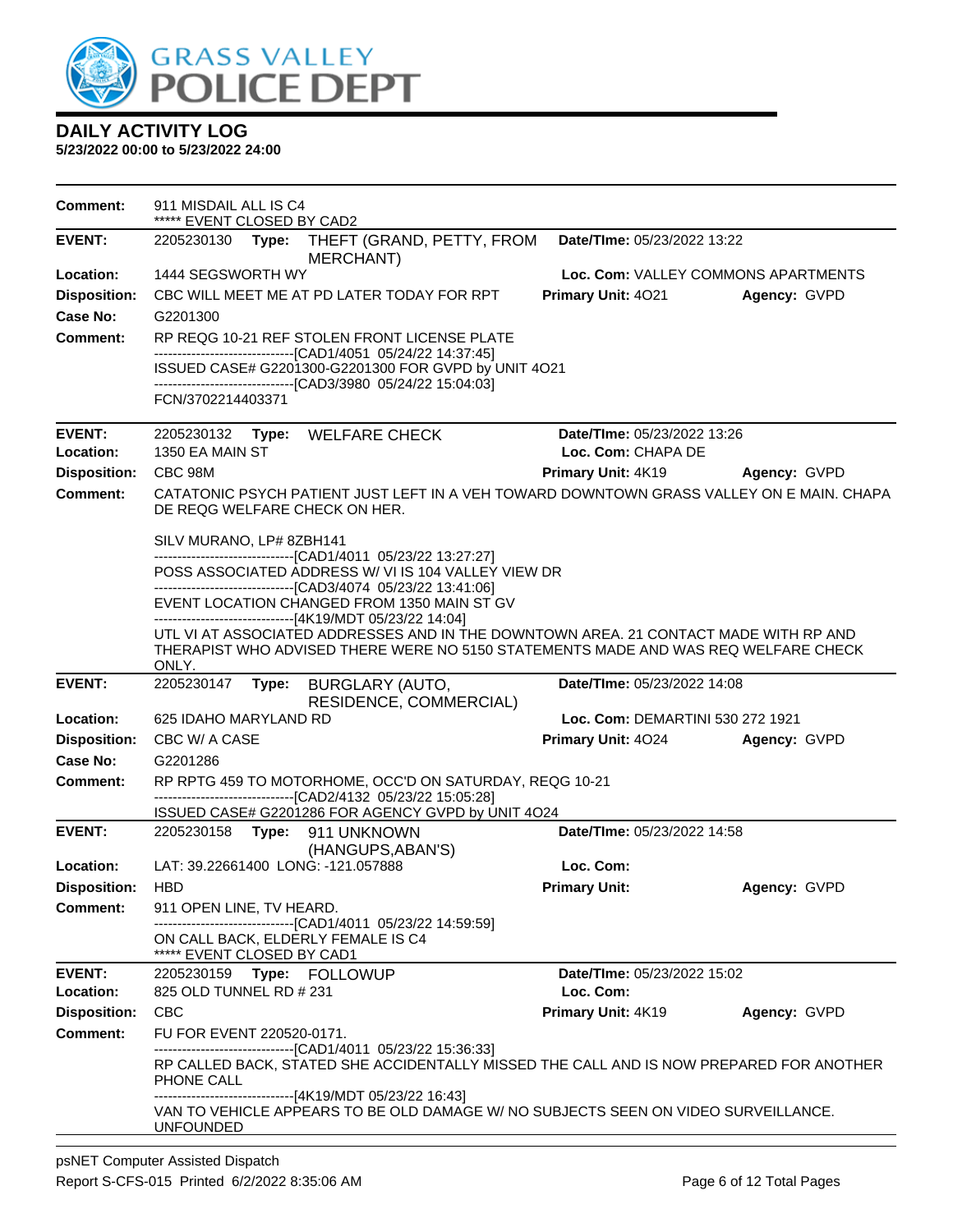

| <b>Comment:</b>                        | 911 MISDAIL ALL IS C4<br>***** EVENT CLOSED BY CAD2                                                                                                                                                                                             |                                     |              |
|----------------------------------------|-------------------------------------------------------------------------------------------------------------------------------------------------------------------------------------------------------------------------------------------------|-------------------------------------|--------------|
| <b>EVENT:</b>                          | 2205230130<br>THEFT (GRAND, PETTY, FROM<br>Type:<br>MERCHANT)                                                                                                                                                                                   | Date/TIme: 05/23/2022 13:22         |              |
| Location:                              | 1444 SEGSWORTH WY                                                                                                                                                                                                                               | Loc. Com: VALLEY COMMONS APARTMENTS |              |
| <b>Disposition:</b>                    | CBC WILL MEET ME AT PD LATER TODAY FOR RPT                                                                                                                                                                                                      | Primary Unit: 4021                  | Agency: GVPD |
| <b>Case No:</b>                        | G2201300                                                                                                                                                                                                                                        |                                     |              |
| <b>Comment:</b>                        | RP REQG 10-21 REF STOLEN FRONT LICENSE PLATE                                                                                                                                                                                                    |                                     |              |
|                                        | -------------------------------[CAD1/4051 05/24/22 14:37:45]<br>ISSUED CASE# G2201300-G2201300 FOR GVPD by UNIT 4O21                                                                                                                            |                                     |              |
|                                        | -------------------------------[CAD3/3980 05/24/22 15:04:03]<br>FCN/3702214403371                                                                                                                                                               |                                     |              |
|                                        |                                                                                                                                                                                                                                                 |                                     |              |
| <b>EVENT:</b>                          | Type: WELFARE CHECK<br>2205230132                                                                                                                                                                                                               | Date/TIme: 05/23/2022 13:26         |              |
| Location:                              | 1350 EA MAIN ST                                                                                                                                                                                                                                 | Loc. Com: CHAPA DE                  |              |
| <b>Disposition:</b>                    | CBC 98M                                                                                                                                                                                                                                         | <b>Primary Unit: 4K19</b>           | Agency: GVPD |
| <b>Comment:</b>                        | CATATONIC PSYCH PATIENT JUST LEFT IN A VEH TOWARD DOWNTOWN GRASS VALLEY ON E MAIN. CHAPA<br>DE REQG WELFARE CHECK ON HER.                                                                                                                       |                                     |              |
|                                        | SILV MURANO, LP# 8ZBH141                                                                                                                                                                                                                        |                                     |              |
|                                        | -------------------------------[CAD1/4011 05/23/22 13:27:27]<br>POSS ASSOCIATED ADDRESS W/ VI IS 104 VALLEY VIEW DR                                                                                                                             |                                     |              |
|                                        | ------------------------------[CAD3/4074_05/23/22 13:41:06]                                                                                                                                                                                     |                                     |              |
|                                        | EVENT LOCATION CHANGED FROM 1350 MAIN ST GV                                                                                                                                                                                                     |                                     |              |
|                                        | -------------------------------[4K19/MDT 05/23/22 14:04]<br>UTL VI AT ASSOCIATED ADDRESSES AND IN THE DOWNTOWN AREA, 21 CONTACT MADE WITH RP AND<br>THERAPIST WHO ADVISED THERE WERE NO 5150 STATEMENTS MADE AND WAS REQ WELFARE CHECK<br>ONLY. |                                     |              |
| <b>EVENT:</b>                          | 2205230147<br>Type: BURGLARY (AUTO,<br>RESIDENCE, COMMERCIAL)                                                                                                                                                                                   | Date/TIme: 05/23/2022 14:08         |              |
| Location:                              | 625 IDAHO MARYLAND RD                                                                                                                                                                                                                           | Loc. Com: DEMARTINI 530 272 1921    |              |
| <b>Disposition:</b>                    | CBC W/ A CASE                                                                                                                                                                                                                                   | Primary Unit: 4024                  | Agency: GVPD |
| <b>Case No:</b>                        | G2201286                                                                                                                                                                                                                                        |                                     |              |
| <b>Comment:</b>                        | RP RPTG 459 TO MOTORHOME, OCC'D ON SATURDAY, REQG 10-21<br>------------------------[CAD2/4132 05/23/22 15:05:28]<br>ISSUED CASE# G2201286 FOR AGENCY GVPD by UNIT 4O24                                                                          |                                     |              |
| <b>EVENT:</b>                          | 2205230158 Type: 911 UNKNOWN                                                                                                                                                                                                                    | Date/TIme: 05/23/2022 14:58         |              |
|                                        | (HANGUPS, ABAN'S)                                                                                                                                                                                                                               |                                     |              |
| Location:                              | LAT: 39.22661400 LONG: -121.057888                                                                                                                                                                                                              | Loc. Com:                           |              |
| <b>Disposition:</b>                    | <b>HBD</b>                                                                                                                                                                                                                                      | <b>Primary Unit:</b>                | Agency: GVPD |
| Comment:                               | 911 OPEN LINE, TV HEARD.<br>------------------------------[CAD1/4011 05/23/22 14:59:59]                                                                                                                                                         |                                     |              |
|                                        | ON CALL BACK, ELDERLY FEMALE IS C4<br>***** EVENT CLOSED BY CAD1                                                                                                                                                                                |                                     |              |
| <b>EVENT:</b>                          |                                                                                                                                                                                                                                                 | Date/TIme: 05/23/2022 15:02         |              |
| Location:                              | 825 OLD TUNNEL RD # 231                                                                                                                                                                                                                         | Loc. Com:                           |              |
| <b>Disposition:</b><br><b>Comment:</b> | <b>CBC</b><br>FU FOR EVENT 220520-0171.                                                                                                                                                                                                         | Primary Unit: 4K19                  | Agency: GVPD |
|                                        | ---------------------[CAD1/4011_05/23/22 15:36:33]                                                                                                                                                                                              |                                     |              |
|                                        | RP CALLED BACK, STATED SHE ACCIDENTALLY MISSED THE CALL AND IS NOW PREPARED FOR ANOTHER<br>PHONE CALL                                                                                                                                           |                                     |              |
|                                        | -------------------------------[4K19/MDT 05/23/22 16:43]<br>VAN TO VEHICLE APPEARS TO BE OLD DAMAGE W/ NO SUBJECTS SEEN ON VIDEO SURVEILLANCE.<br><b>UNFOUNDED</b>                                                                              |                                     |              |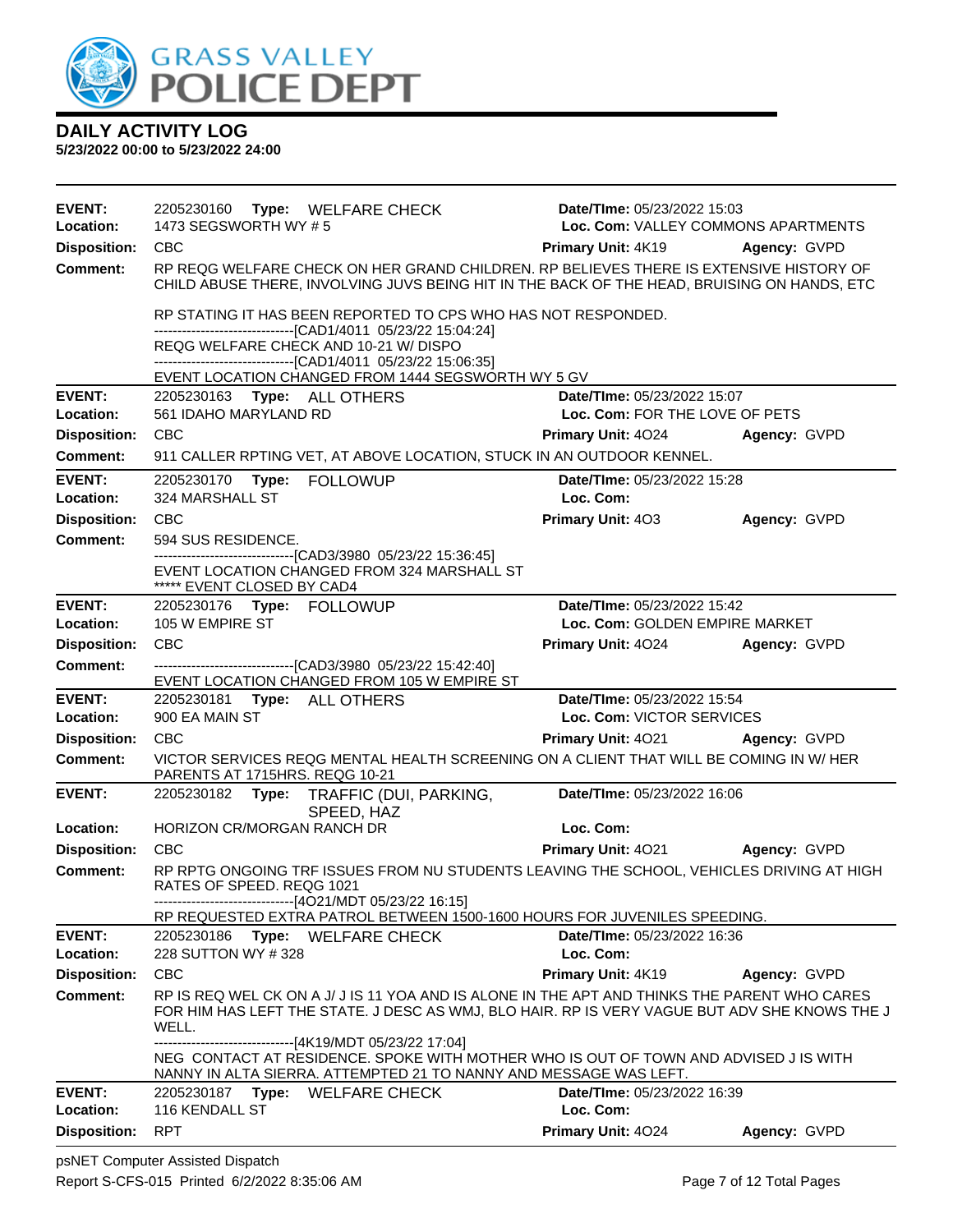

| <b>EVENT:</b><br>Location: | 2205230160 Type: WELFARE CHECK<br>1473 SEGSWORTH WY #5                                                                                                                                                                | Date/TIme: 05/23/2022 15:03<br>Loc. Com: VALLEY COMMONS APARTMENTS |              |  |  |
|----------------------------|-----------------------------------------------------------------------------------------------------------------------------------------------------------------------------------------------------------------------|--------------------------------------------------------------------|--------------|--|--|
| <b>Disposition:</b>        | <b>CBC</b>                                                                                                                                                                                                            | <b>Primary Unit: 4K19</b>                                          | Agency: GVPD |  |  |
| <b>Comment:</b>            | RP REQG WELFARE CHECK ON HER GRAND CHILDREN. RP BELIEVES THERE IS EXTENSIVE HISTORY OF<br>CHILD ABUSE THERE, INVOLVING JUVS BEING HIT IN THE BACK OF THE HEAD, BRUISING ON HANDS, ETC                                 |                                                                    |              |  |  |
|                            | RP STATING IT HAS BEEN REPORTED TO CPS WHO HAS NOT RESPONDED.                                                                                                                                                         |                                                                    |              |  |  |
|                            | -------------------------------[CAD1/4011 05/23/22 15:04:24]<br>REQG WELFARE CHECK AND 10-21 W/ DISPO                                                                                                                 |                                                                    |              |  |  |
|                            | -------------------------------[CAD1/4011 05/23/22 15:06:35]                                                                                                                                                          |                                                                    |              |  |  |
|                            | EVENT LOCATION CHANGED FROM 1444 SEGSWORTH WY 5 GV                                                                                                                                                                    |                                                                    |              |  |  |
| <b>EVENT:</b><br>Location: | 2205230163 Type: ALL OTHERS<br>561 IDAHO MARYLAND RD                                                                                                                                                                  | Date/TIme: 05/23/2022 15:07<br>Loc. Com: FOR THE LOVE OF PETS      |              |  |  |
| <b>Disposition:</b>        | CBC                                                                                                                                                                                                                   | <b>Primary Unit: 4024</b>                                          | Agency: GVPD |  |  |
| <b>Comment:</b>            | 911 CALLER RPTING VET, AT ABOVE LOCATION, STUCK IN AN OUTDOOR KENNEL.                                                                                                                                                 |                                                                    |              |  |  |
|                            |                                                                                                                                                                                                                       |                                                                    |              |  |  |
| <b>EVENT:</b><br>Location: | <b>FOLLOWUP</b><br>2205230170<br>Type:<br>324 MARSHALL ST                                                                                                                                                             | Date/TIme: 05/23/2022 15:28<br>Loc. Com:                           |              |  |  |
| <b>Disposition:</b>        | <b>CBC</b>                                                                                                                                                                                                            | <b>Primary Unit: 403</b>                                           | Agency: GVPD |  |  |
| <b>Comment:</b>            | 594 SUS RESIDENCE.                                                                                                                                                                                                    |                                                                    |              |  |  |
|                            | ---------------------[CAD3/3980 05/23/22 15:36:45]                                                                                                                                                                    |                                                                    |              |  |  |
|                            | EVENT LOCATION CHANGED FROM 324 MARSHALL ST<br>***** EVENT CLOSED BY CAD4                                                                                                                                             |                                                                    |              |  |  |
| <b>EVENT:</b>              | 2205230176 Type: FOLLOWUP                                                                                                                                                                                             | Date/TIme: 05/23/2022 15:42                                        |              |  |  |
| Location:                  | 105 W EMPIRE ST                                                                                                                                                                                                       | Loc. Com: GOLDEN EMPIRE MARKET                                     |              |  |  |
| <b>Disposition:</b>        | <b>CBC</b>                                                                                                                                                                                                            | Primary Unit: 4024                                                 | Agency: GVPD |  |  |
| <b>Comment:</b>            | -------------------------------[CAD3/3980 05/23/22 15:42:40]                                                                                                                                                          |                                                                    |              |  |  |
|                            | EVENT LOCATION CHANGED FROM 105 W EMPIRE ST                                                                                                                                                                           |                                                                    |              |  |  |
| <b>EVENT:</b><br>Location: | 2205230181 Type: ALL OTHERS<br>900 EA MAIN ST                                                                                                                                                                         | Date/TIme: 05/23/2022 15:54<br>Loc. Com: VICTOR SERVICES           |              |  |  |
| <b>Disposition:</b>        | <b>CBC</b>                                                                                                                                                                                                            | Primary Unit: 4021                                                 | Agency: GVPD |  |  |
| <b>Comment:</b>            | VICTOR SERVICES REQG MENTAL HEALTH SCREENING ON A CLIENT THAT WILL BE COMING IN W/HER<br>PARENTS AT 1715HRS. REQG 10-21                                                                                               |                                                                    |              |  |  |
| <b>EVENT:</b>              | 2205230182 Type: TRAFFIC (DUI, PARKING,                                                                                                                                                                               | Date/TIme: 05/23/2022 16:06                                        |              |  |  |
|                            | SPEED, HAZ                                                                                                                                                                                                            |                                                                    |              |  |  |
| Location:                  | HORIZON CR/MORGAN RANCH DR                                                                                                                                                                                            | Loc. Com:                                                          |              |  |  |
| <b>Disposition:</b>        | <b>CBC</b>                                                                                                                                                                                                            | Primary Unit: 4021                                                 | Agency: GVPD |  |  |
| <b>Comment:</b>            | RP RPTG ONGOING TRF ISSUES FROM NU STUDENTS LEAVING THE SCHOOL, VEHICLES DRIVING AT HIGH<br>RATES OF SPEED. REQG 1021                                                                                                 |                                                                    |              |  |  |
|                            | ------------------------------[4O21/MDT 05/23/22 16:15]                                                                                                                                                               |                                                                    |              |  |  |
|                            | RP REQUESTED EXTRA PATROL BETWEEN 1500-1600 HOURS FOR JUVENILES SPEEDING.                                                                                                                                             |                                                                    |              |  |  |
| <b>EVENT:</b><br>Location: | 2205230186 Type: WELFARE CHECK<br>228 SUTTON WY #328                                                                                                                                                                  | Date/TIme: 05/23/2022 16:36<br>Loc. Com:                           |              |  |  |
| <b>Disposition:</b>        | <b>CBC</b>                                                                                                                                                                                                            | Primary Unit: 4K19                                                 | Agency: GVPD |  |  |
| Comment:                   | RP IS REQ WEL CK ON A J/ J IS 11 YOA AND IS ALONE IN THE APT AND THINKS THE PARENT WHO CARES                                                                                                                          |                                                                    |              |  |  |
|                            | FOR HIM HAS LEFT THE STATE. J DESC AS WMJ, BLO HAIR. RP IS VERY VAGUE BUT ADV SHE KNOWS THE J<br>WELL.                                                                                                                |                                                                    |              |  |  |
|                            | -------------------------------[4K19/MDT 05/23/22 17:04]<br>NEG CONTACT AT RESIDENCE. SPOKE WITH MOTHER WHO IS OUT OF TOWN AND ADVISED J IS WITH<br>NANNY IN ALTA SIERRA. ATTEMPTED 21 TO NANNY AND MESSAGE WAS LEFT. |                                                                    |              |  |  |
| <b>EVENT:</b>              | 2205230187 Type: WELFARE CHECK                                                                                                                                                                                        | Date/TIme: 05/23/2022 16:39                                        |              |  |  |
| Location:                  | 116 KENDALL ST                                                                                                                                                                                                        | Loc. Com:                                                          |              |  |  |
| <b>Disposition:</b>        | <b>RPT</b>                                                                                                                                                                                                            | Primary Unit: 4024                                                 | Agency: GVPD |  |  |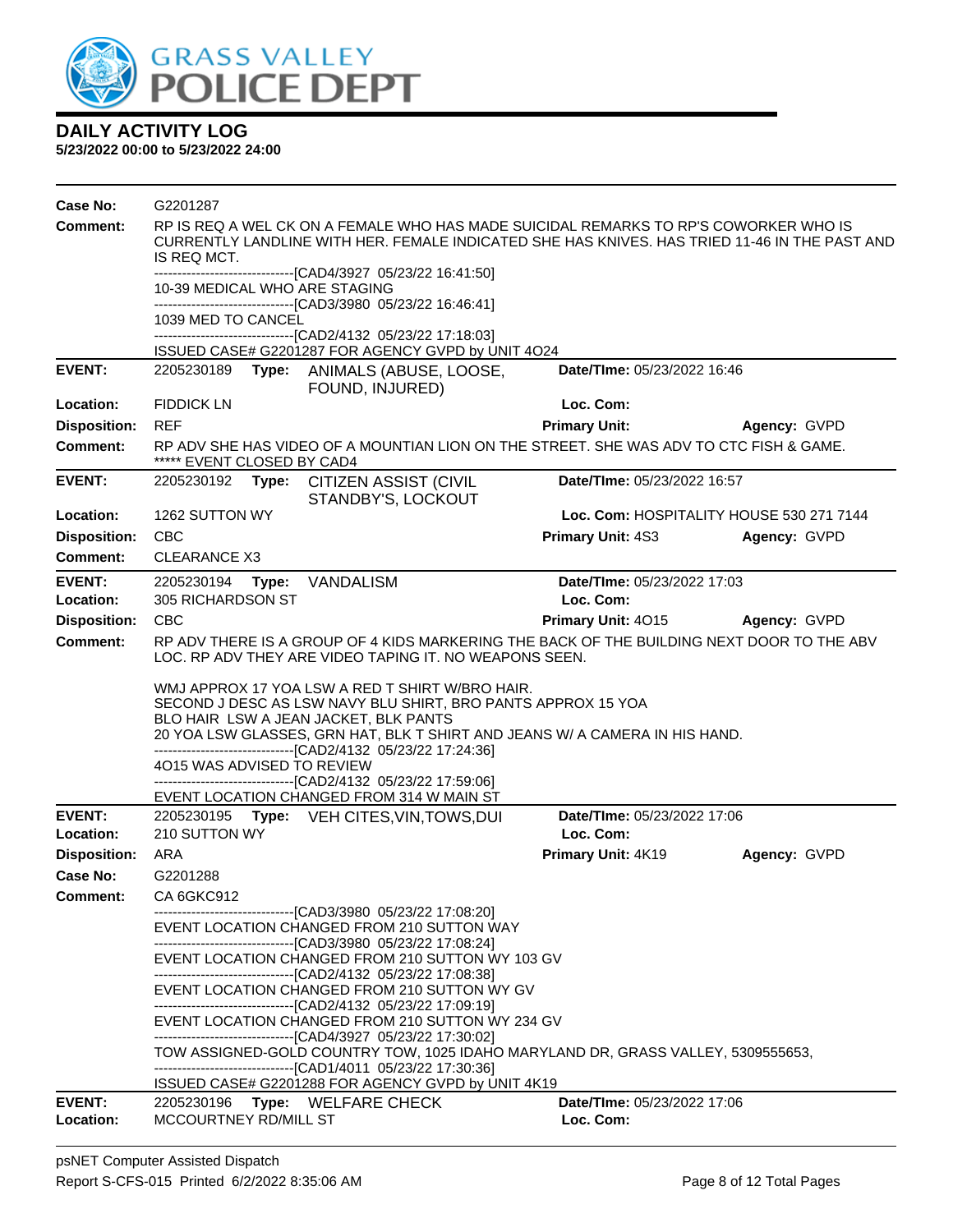

| Comment:<br>RP IS REQ A WEL CK ON A FEMALE WHO HAS MADE SUICIDAL REMARKS TO RP'S COWORKER WHO IS<br>CURRENTLY LANDLINE WITH HER. FEMALE INDICATED SHE HAS KNIVES. HAS TRIED 11-46 IN THE PAST AND<br>IS REQ MCT.<br>------------------------------[CAD4/3927 05/23/22 16:41:50]<br>10-39 MEDICAL WHO ARE STAGING<br>-------------------------------[CAD3/3980_05/23/22 16:46:41]<br>1039 MED TO CANCEL<br>-------------------------------[CAD2/4132 05/23/22 17:18:03]<br>ISSUED CASE# G2201287 FOR AGENCY GVPD by UNIT 4O24<br><b>EVENT:</b><br>Date/TIme: 05/23/2022 16:46<br>2205230189 Type: ANIMALS (ABUSE, LOOSE,<br>FOUND, INJURED)<br><b>FIDDICK LN</b><br>Loc. Com:<br>Location:<br><b>Disposition:</b><br><b>REF</b><br><b>Primary Unit:</b><br>Agency: GVPD<br>RP ADV SHE HAS VIDEO OF A MOUNTIAN LION ON THE STREET. SHE WAS ADV TO CTC FISH & GAME.<br><b>Comment:</b><br>***** EVENT CLOSED BY CAD4<br><b>EVENT:</b><br>Date/TIme: 05/23/2022 16:57<br>2205230192<br><b>CITIZEN ASSIST (CIVIL</b><br>Type:<br>STANDBY'S, LOCKOUT<br>Loc. Com: HOSPITALITY HOUSE 530 271 7144<br>Location:<br>1262 SUTTON WY<br><b>Disposition:</b><br><b>CBC</b><br><b>Primary Unit: 4S3</b><br>Agency: GVPD<br><b>Comment:</b><br><b>CLEARANCE X3</b><br><b>EVENT:</b><br>Type: VANDALISM<br>Date/TIme: 05/23/2022 17:03<br>2205230194<br>Loc. Com:<br>Location:<br>305 RICHARDSON ST<br><b>CBC</b><br>Primary Unit: 4015<br><b>Disposition:</b><br>Agency: GVPD<br>RP ADV THERE IS A GROUP OF 4 KIDS MARKERING THE BACK OF THE BUILDING NEXT DOOR TO THE ABV<br><b>Comment:</b><br>LOC. RP ADV THEY ARE VIDEO TAPING IT. NO WEAPONS SEEN.<br>WMJ APPROX 17 YOA LSW A RED T SHIRT W/BRO HAIR.<br>SECOND J DESC AS LSW NAVY BLU SHIRT, BRO PANTS APPROX 15 YOA<br>BLO HAIR LSW A JEAN JACKET, BLK PANTS<br>20 YOA LSW GLASSES, GRN HAT, BLK T SHIRT AND JEANS W/ A CAMERA IN HIS HAND.<br>-------------------------------[CAD2/4132 05/23/22 17:24:36]<br>4O15 WAS ADVISED TO REVIEW<br>-------------------------------[CAD2/4132 05/23/22 17:59:06]<br>EVENT LOCATION CHANGED FROM 314 W MAIN ST<br><b>EVENT:</b><br>Date/TIme: 05/23/2022 17:06<br>2205230195 Type: VEH CITES, VIN, TOWS, DUI<br>Location:<br>210 SUTTON WY<br>Loc. Com:<br><b>Disposition:</b><br>ARA<br>Primary Unit: 4K19<br>Agency: GVPD<br>Case No:<br>G2201288<br>CA 6GKC912<br>Comment:<br>-------------------------------[CAD3/3980_05/23/22 17:08:20]<br>EVENT LOCATION CHANGED FROM 210 SUTTON WAY<br>--------------------------------[CAD3/3980 05/23/22 17:08:24]<br>EVENT LOCATION CHANGED FROM 210 SUTTON WY 103 GV<br>-------------------------------[CAD2/4132 05/23/22 17:08:38]<br>EVENT LOCATION CHANGED FROM 210 SUTTON WY GV<br>-------------------------------[CAD2/4132 05/23/22 17:09:19]<br>EVENT LOCATION CHANGED FROM 210 SUTTON WY 234 GV<br>-------------------------------[CAD4/3927 05/23/22 17:30:02]<br>TOW ASSIGNED-GOLD COUNTRY TOW, 1025 IDAHO MARYLAND DR, GRASS VALLEY, 5309555653,<br>-------------------------------[CAD1/4011 05/23/22 17:30:36]<br>ISSUED CASE# G2201288 FOR AGENCY GVPD by UNIT 4K19<br><b>EVENT:</b><br>Date/TIme: 05/23/2022 17:06<br>2205230196 Type: WELFARE CHECK<br>Loc. Com:<br>Location:<br>MCCOURTNEY RD/MILL ST | <b>Case No:</b> | G2201287 |  |
|------------------------------------------------------------------------------------------------------------------------------------------------------------------------------------------------------------------------------------------------------------------------------------------------------------------------------------------------------------------------------------------------------------------------------------------------------------------------------------------------------------------------------------------------------------------------------------------------------------------------------------------------------------------------------------------------------------------------------------------------------------------------------------------------------------------------------------------------------------------------------------------------------------------------------------------------------------------------------------------------------------------------------------------------------------------------------------------------------------------------------------------------------------------------------------------------------------------------------------------------------------------------------------------------------------------------------------------------------------------------------------------------------------------------------------------------------------------------------------------------------------------------------------------------------------------------------------------------------------------------------------------------------------------------------------------------------------------------------------------------------------------------------------------------------------------------------------------------------------------------------------------------------------------------------------------------------------------------------------------------------------------------------------------------------------------------------------------------------------------------------------------------------------------------------------------------------------------------------------------------------------------------------------------------------------------------------------------------------------------------------------------------------------------------------------------------------------------------------------------------------------------------------------------------------------------------------------------------------------------------------------------------------------------------------------------------------------------------------------------------------------------------------------------------------------------------------------------------------------------------------------------------------------------------------------------------------------------------------------------------------------------------------------------------------------------------------------------------------------------------------------------------------------------------------------------------------------------------------------------------------|-----------------|----------|--|
|                                                                                                                                                                                                                                                                                                                                                                                                                                                                                                                                                                                                                                                                                                                                                                                                                                                                                                                                                                                                                                                                                                                                                                                                                                                                                                                                                                                                                                                                                                                                                                                                                                                                                                                                                                                                                                                                                                                                                                                                                                                                                                                                                                                                                                                                                                                                                                                                                                                                                                                                                                                                                                                                                                                                                                                                                                                                                                                                                                                                                                                                                                                                                                                                                                                      |                 |          |  |
|                                                                                                                                                                                                                                                                                                                                                                                                                                                                                                                                                                                                                                                                                                                                                                                                                                                                                                                                                                                                                                                                                                                                                                                                                                                                                                                                                                                                                                                                                                                                                                                                                                                                                                                                                                                                                                                                                                                                                                                                                                                                                                                                                                                                                                                                                                                                                                                                                                                                                                                                                                                                                                                                                                                                                                                                                                                                                                                                                                                                                                                                                                                                                                                                                                                      |                 |          |  |
|                                                                                                                                                                                                                                                                                                                                                                                                                                                                                                                                                                                                                                                                                                                                                                                                                                                                                                                                                                                                                                                                                                                                                                                                                                                                                                                                                                                                                                                                                                                                                                                                                                                                                                                                                                                                                                                                                                                                                                                                                                                                                                                                                                                                                                                                                                                                                                                                                                                                                                                                                                                                                                                                                                                                                                                                                                                                                                                                                                                                                                                                                                                                                                                                                                                      |                 |          |  |
|                                                                                                                                                                                                                                                                                                                                                                                                                                                                                                                                                                                                                                                                                                                                                                                                                                                                                                                                                                                                                                                                                                                                                                                                                                                                                                                                                                                                                                                                                                                                                                                                                                                                                                                                                                                                                                                                                                                                                                                                                                                                                                                                                                                                                                                                                                                                                                                                                                                                                                                                                                                                                                                                                                                                                                                                                                                                                                                                                                                                                                                                                                                                                                                                                                                      |                 |          |  |
|                                                                                                                                                                                                                                                                                                                                                                                                                                                                                                                                                                                                                                                                                                                                                                                                                                                                                                                                                                                                                                                                                                                                                                                                                                                                                                                                                                                                                                                                                                                                                                                                                                                                                                                                                                                                                                                                                                                                                                                                                                                                                                                                                                                                                                                                                                                                                                                                                                                                                                                                                                                                                                                                                                                                                                                                                                                                                                                                                                                                                                                                                                                                                                                                                                                      |                 |          |  |
|                                                                                                                                                                                                                                                                                                                                                                                                                                                                                                                                                                                                                                                                                                                                                                                                                                                                                                                                                                                                                                                                                                                                                                                                                                                                                                                                                                                                                                                                                                                                                                                                                                                                                                                                                                                                                                                                                                                                                                                                                                                                                                                                                                                                                                                                                                                                                                                                                                                                                                                                                                                                                                                                                                                                                                                                                                                                                                                                                                                                                                                                                                                                                                                                                                                      |                 |          |  |
|                                                                                                                                                                                                                                                                                                                                                                                                                                                                                                                                                                                                                                                                                                                                                                                                                                                                                                                                                                                                                                                                                                                                                                                                                                                                                                                                                                                                                                                                                                                                                                                                                                                                                                                                                                                                                                                                                                                                                                                                                                                                                                                                                                                                                                                                                                                                                                                                                                                                                                                                                                                                                                                                                                                                                                                                                                                                                                                                                                                                                                                                                                                                                                                                                                                      |                 |          |  |
|                                                                                                                                                                                                                                                                                                                                                                                                                                                                                                                                                                                                                                                                                                                                                                                                                                                                                                                                                                                                                                                                                                                                                                                                                                                                                                                                                                                                                                                                                                                                                                                                                                                                                                                                                                                                                                                                                                                                                                                                                                                                                                                                                                                                                                                                                                                                                                                                                                                                                                                                                                                                                                                                                                                                                                                                                                                                                                                                                                                                                                                                                                                                                                                                                                                      |                 |          |  |
|                                                                                                                                                                                                                                                                                                                                                                                                                                                                                                                                                                                                                                                                                                                                                                                                                                                                                                                                                                                                                                                                                                                                                                                                                                                                                                                                                                                                                                                                                                                                                                                                                                                                                                                                                                                                                                                                                                                                                                                                                                                                                                                                                                                                                                                                                                                                                                                                                                                                                                                                                                                                                                                                                                                                                                                                                                                                                                                                                                                                                                                                                                                                                                                                                                                      |                 |          |  |
|                                                                                                                                                                                                                                                                                                                                                                                                                                                                                                                                                                                                                                                                                                                                                                                                                                                                                                                                                                                                                                                                                                                                                                                                                                                                                                                                                                                                                                                                                                                                                                                                                                                                                                                                                                                                                                                                                                                                                                                                                                                                                                                                                                                                                                                                                                                                                                                                                                                                                                                                                                                                                                                                                                                                                                                                                                                                                                                                                                                                                                                                                                                                                                                                                                                      |                 |          |  |
|                                                                                                                                                                                                                                                                                                                                                                                                                                                                                                                                                                                                                                                                                                                                                                                                                                                                                                                                                                                                                                                                                                                                                                                                                                                                                                                                                                                                                                                                                                                                                                                                                                                                                                                                                                                                                                                                                                                                                                                                                                                                                                                                                                                                                                                                                                                                                                                                                                                                                                                                                                                                                                                                                                                                                                                                                                                                                                                                                                                                                                                                                                                                                                                                                                                      |                 |          |  |
|                                                                                                                                                                                                                                                                                                                                                                                                                                                                                                                                                                                                                                                                                                                                                                                                                                                                                                                                                                                                                                                                                                                                                                                                                                                                                                                                                                                                                                                                                                                                                                                                                                                                                                                                                                                                                                                                                                                                                                                                                                                                                                                                                                                                                                                                                                                                                                                                                                                                                                                                                                                                                                                                                                                                                                                                                                                                                                                                                                                                                                                                                                                                                                                                                                                      |                 |          |  |
|                                                                                                                                                                                                                                                                                                                                                                                                                                                                                                                                                                                                                                                                                                                                                                                                                                                                                                                                                                                                                                                                                                                                                                                                                                                                                                                                                                                                                                                                                                                                                                                                                                                                                                                                                                                                                                                                                                                                                                                                                                                                                                                                                                                                                                                                                                                                                                                                                                                                                                                                                                                                                                                                                                                                                                                                                                                                                                                                                                                                                                                                                                                                                                                                                                                      |                 |          |  |
|                                                                                                                                                                                                                                                                                                                                                                                                                                                                                                                                                                                                                                                                                                                                                                                                                                                                                                                                                                                                                                                                                                                                                                                                                                                                                                                                                                                                                                                                                                                                                                                                                                                                                                                                                                                                                                                                                                                                                                                                                                                                                                                                                                                                                                                                                                                                                                                                                                                                                                                                                                                                                                                                                                                                                                                                                                                                                                                                                                                                                                                                                                                                                                                                                                                      |                 |          |  |
|                                                                                                                                                                                                                                                                                                                                                                                                                                                                                                                                                                                                                                                                                                                                                                                                                                                                                                                                                                                                                                                                                                                                                                                                                                                                                                                                                                                                                                                                                                                                                                                                                                                                                                                                                                                                                                                                                                                                                                                                                                                                                                                                                                                                                                                                                                                                                                                                                                                                                                                                                                                                                                                                                                                                                                                                                                                                                                                                                                                                                                                                                                                                                                                                                                                      |                 |          |  |
|                                                                                                                                                                                                                                                                                                                                                                                                                                                                                                                                                                                                                                                                                                                                                                                                                                                                                                                                                                                                                                                                                                                                                                                                                                                                                                                                                                                                                                                                                                                                                                                                                                                                                                                                                                                                                                                                                                                                                                                                                                                                                                                                                                                                                                                                                                                                                                                                                                                                                                                                                                                                                                                                                                                                                                                                                                                                                                                                                                                                                                                                                                                                                                                                                                                      |                 |          |  |
|                                                                                                                                                                                                                                                                                                                                                                                                                                                                                                                                                                                                                                                                                                                                                                                                                                                                                                                                                                                                                                                                                                                                                                                                                                                                                                                                                                                                                                                                                                                                                                                                                                                                                                                                                                                                                                                                                                                                                                                                                                                                                                                                                                                                                                                                                                                                                                                                                                                                                                                                                                                                                                                                                                                                                                                                                                                                                                                                                                                                                                                                                                                                                                                                                                                      |                 |          |  |
|                                                                                                                                                                                                                                                                                                                                                                                                                                                                                                                                                                                                                                                                                                                                                                                                                                                                                                                                                                                                                                                                                                                                                                                                                                                                                                                                                                                                                                                                                                                                                                                                                                                                                                                                                                                                                                                                                                                                                                                                                                                                                                                                                                                                                                                                                                                                                                                                                                                                                                                                                                                                                                                                                                                                                                                                                                                                                                                                                                                                                                                                                                                                                                                                                                                      |                 |          |  |
|                                                                                                                                                                                                                                                                                                                                                                                                                                                                                                                                                                                                                                                                                                                                                                                                                                                                                                                                                                                                                                                                                                                                                                                                                                                                                                                                                                                                                                                                                                                                                                                                                                                                                                                                                                                                                                                                                                                                                                                                                                                                                                                                                                                                                                                                                                                                                                                                                                                                                                                                                                                                                                                                                                                                                                                                                                                                                                                                                                                                                                                                                                                                                                                                                                                      |                 |          |  |
|                                                                                                                                                                                                                                                                                                                                                                                                                                                                                                                                                                                                                                                                                                                                                                                                                                                                                                                                                                                                                                                                                                                                                                                                                                                                                                                                                                                                                                                                                                                                                                                                                                                                                                                                                                                                                                                                                                                                                                                                                                                                                                                                                                                                                                                                                                                                                                                                                                                                                                                                                                                                                                                                                                                                                                                                                                                                                                                                                                                                                                                                                                                                                                                                                                                      |                 |          |  |
|                                                                                                                                                                                                                                                                                                                                                                                                                                                                                                                                                                                                                                                                                                                                                                                                                                                                                                                                                                                                                                                                                                                                                                                                                                                                                                                                                                                                                                                                                                                                                                                                                                                                                                                                                                                                                                                                                                                                                                                                                                                                                                                                                                                                                                                                                                                                                                                                                                                                                                                                                                                                                                                                                                                                                                                                                                                                                                                                                                                                                                                                                                                                                                                                                                                      |                 |          |  |
|                                                                                                                                                                                                                                                                                                                                                                                                                                                                                                                                                                                                                                                                                                                                                                                                                                                                                                                                                                                                                                                                                                                                                                                                                                                                                                                                                                                                                                                                                                                                                                                                                                                                                                                                                                                                                                                                                                                                                                                                                                                                                                                                                                                                                                                                                                                                                                                                                                                                                                                                                                                                                                                                                                                                                                                                                                                                                                                                                                                                                                                                                                                                                                                                                                                      |                 |          |  |
|                                                                                                                                                                                                                                                                                                                                                                                                                                                                                                                                                                                                                                                                                                                                                                                                                                                                                                                                                                                                                                                                                                                                                                                                                                                                                                                                                                                                                                                                                                                                                                                                                                                                                                                                                                                                                                                                                                                                                                                                                                                                                                                                                                                                                                                                                                                                                                                                                                                                                                                                                                                                                                                                                                                                                                                                                                                                                                                                                                                                                                                                                                                                                                                                                                                      |                 |          |  |
|                                                                                                                                                                                                                                                                                                                                                                                                                                                                                                                                                                                                                                                                                                                                                                                                                                                                                                                                                                                                                                                                                                                                                                                                                                                                                                                                                                                                                                                                                                                                                                                                                                                                                                                                                                                                                                                                                                                                                                                                                                                                                                                                                                                                                                                                                                                                                                                                                                                                                                                                                                                                                                                                                                                                                                                                                                                                                                                                                                                                                                                                                                                                                                                                                                                      |                 |          |  |
|                                                                                                                                                                                                                                                                                                                                                                                                                                                                                                                                                                                                                                                                                                                                                                                                                                                                                                                                                                                                                                                                                                                                                                                                                                                                                                                                                                                                                                                                                                                                                                                                                                                                                                                                                                                                                                                                                                                                                                                                                                                                                                                                                                                                                                                                                                                                                                                                                                                                                                                                                                                                                                                                                                                                                                                                                                                                                                                                                                                                                                                                                                                                                                                                                                                      |                 |          |  |
|                                                                                                                                                                                                                                                                                                                                                                                                                                                                                                                                                                                                                                                                                                                                                                                                                                                                                                                                                                                                                                                                                                                                                                                                                                                                                                                                                                                                                                                                                                                                                                                                                                                                                                                                                                                                                                                                                                                                                                                                                                                                                                                                                                                                                                                                                                                                                                                                                                                                                                                                                                                                                                                                                                                                                                                                                                                                                                                                                                                                                                                                                                                                                                                                                                                      |                 |          |  |
|                                                                                                                                                                                                                                                                                                                                                                                                                                                                                                                                                                                                                                                                                                                                                                                                                                                                                                                                                                                                                                                                                                                                                                                                                                                                                                                                                                                                                                                                                                                                                                                                                                                                                                                                                                                                                                                                                                                                                                                                                                                                                                                                                                                                                                                                                                                                                                                                                                                                                                                                                                                                                                                                                                                                                                                                                                                                                                                                                                                                                                                                                                                                                                                                                                                      |                 |          |  |
|                                                                                                                                                                                                                                                                                                                                                                                                                                                                                                                                                                                                                                                                                                                                                                                                                                                                                                                                                                                                                                                                                                                                                                                                                                                                                                                                                                                                                                                                                                                                                                                                                                                                                                                                                                                                                                                                                                                                                                                                                                                                                                                                                                                                                                                                                                                                                                                                                                                                                                                                                                                                                                                                                                                                                                                                                                                                                                                                                                                                                                                                                                                                                                                                                                                      |                 |          |  |
|                                                                                                                                                                                                                                                                                                                                                                                                                                                                                                                                                                                                                                                                                                                                                                                                                                                                                                                                                                                                                                                                                                                                                                                                                                                                                                                                                                                                                                                                                                                                                                                                                                                                                                                                                                                                                                                                                                                                                                                                                                                                                                                                                                                                                                                                                                                                                                                                                                                                                                                                                                                                                                                                                                                                                                                                                                                                                                                                                                                                                                                                                                                                                                                                                                                      |                 |          |  |
|                                                                                                                                                                                                                                                                                                                                                                                                                                                                                                                                                                                                                                                                                                                                                                                                                                                                                                                                                                                                                                                                                                                                                                                                                                                                                                                                                                                                                                                                                                                                                                                                                                                                                                                                                                                                                                                                                                                                                                                                                                                                                                                                                                                                                                                                                                                                                                                                                                                                                                                                                                                                                                                                                                                                                                                                                                                                                                                                                                                                                                                                                                                                                                                                                                                      |                 |          |  |
|                                                                                                                                                                                                                                                                                                                                                                                                                                                                                                                                                                                                                                                                                                                                                                                                                                                                                                                                                                                                                                                                                                                                                                                                                                                                                                                                                                                                                                                                                                                                                                                                                                                                                                                                                                                                                                                                                                                                                                                                                                                                                                                                                                                                                                                                                                                                                                                                                                                                                                                                                                                                                                                                                                                                                                                                                                                                                                                                                                                                                                                                                                                                                                                                                                                      |                 |          |  |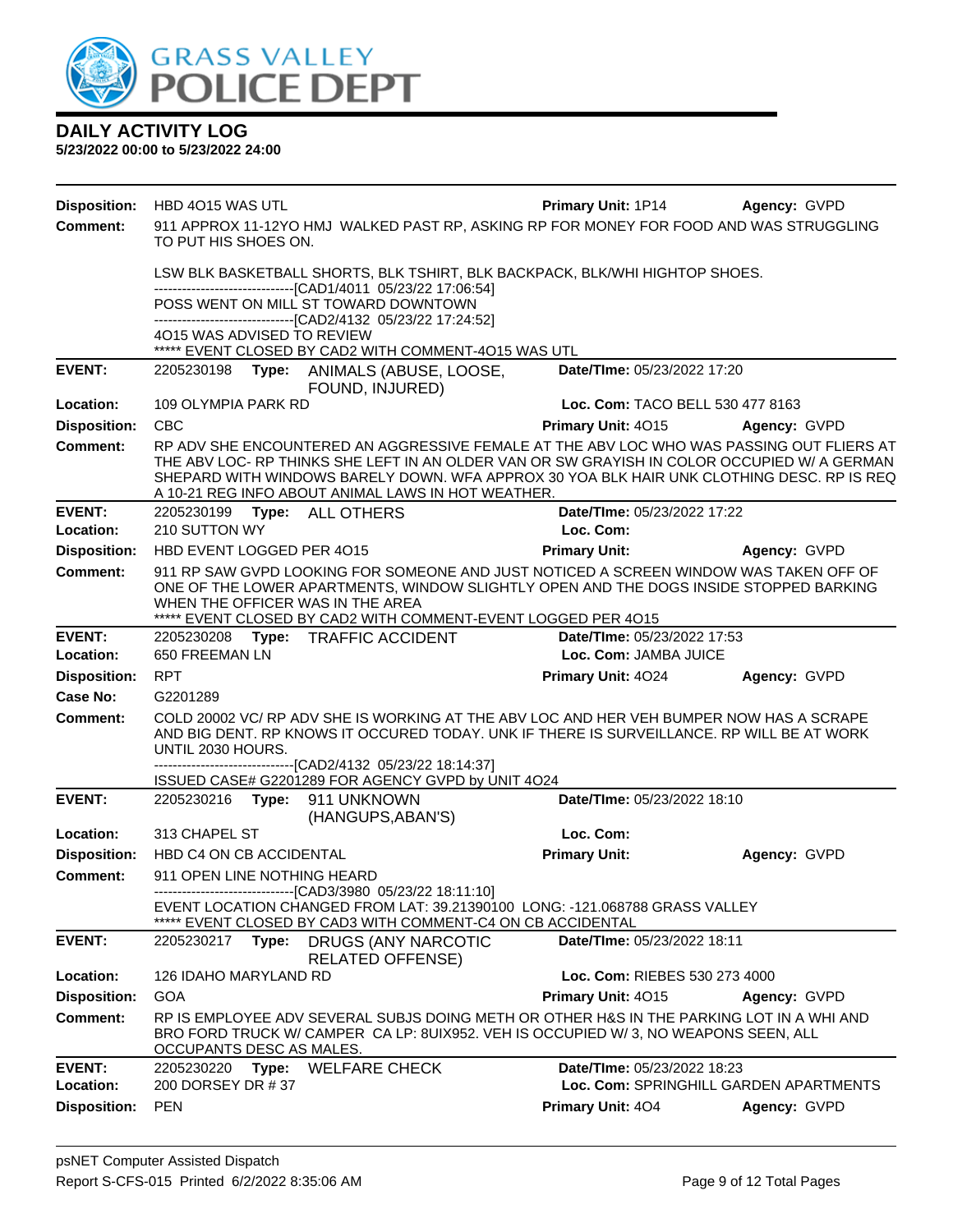

| <b>Disposition:</b>        | HBD 4015 WAS UTL                                                                                                                                                                                                   |                                                                                                                                                                                                                                                                                                                                            | <b>Primary Unit: 1P14</b>                            | Agency: GVPD |
|----------------------------|--------------------------------------------------------------------------------------------------------------------------------------------------------------------------------------------------------------------|--------------------------------------------------------------------------------------------------------------------------------------------------------------------------------------------------------------------------------------------------------------------------------------------------------------------------------------------|------------------------------------------------------|--------------|
| <b>Comment:</b>            | TO PUT HIS SHOES ON.                                                                                                                                                                                               | 911 APPROX 11-12YO HMJ WALKED PAST RP, ASKING RP FOR MONEY FOR FOOD AND WAS STRUGGLING                                                                                                                                                                                                                                                     |                                                      |              |
|                            |                                                                                                                                                                                                                    | LSW BLK BASKETBALL SHORTS, BLK TSHIRT, BLK BACKPACK, BLK/WHI HIGHTOP SHOES.                                                                                                                                                                                                                                                                |                                                      |              |
|                            |                                                                                                                                                                                                                    | -------------------------------[CAD1/4011 05/23/22 17:06:54]<br>POSS WENT ON MILL ST TOWARD DOWNTOWN<br>--------------------------------[CAD2/4132 05/23/22 17:24:52]                                                                                                                                                                      |                                                      |              |
|                            | 4015 WAS ADVISED TO REVIEW                                                                                                                                                                                         |                                                                                                                                                                                                                                                                                                                                            |                                                      |              |
|                            |                                                                                                                                                                                                                    | EVENT CLOSED BY CAD2 WITH COMMENT-4015 WAS UTL                                                                                                                                                                                                                                                                                             |                                                      |              |
| <b>EVENT:</b>              |                                                                                                                                                                                                                    | 2205230198 Type: ANIMALS (ABUSE, LOOSE,<br>FOUND, INJURED)                                                                                                                                                                                                                                                                                 | Date/TIme: 05/23/2022 17:20                          |              |
| Location:                  | 109 OLYMPIA PARK RD                                                                                                                                                                                                |                                                                                                                                                                                                                                                                                                                                            | Loc. Com: TACO BELL 530 477 8163                     |              |
| <b>Disposition:</b>        | <b>CBC</b>                                                                                                                                                                                                         |                                                                                                                                                                                                                                                                                                                                            | Primary Unit: 4015                                   | Agency: GVPD |
| <b>Comment:</b>            |                                                                                                                                                                                                                    | RP ADV SHE ENCOUNTERED AN AGGRESSIVE FEMALE AT THE ABV LOC WHO WAS PASSING OUT FLIERS AT<br>THE ABV LOC- RP THINKS SHE LEFT IN AN OLDER VAN OR SW GRAYISH IN COLOR OCCUPIED W/ A GERMAN<br>SHEPARD WITH WINDOWS BARELY DOWN. WFA APPROX 30 YOA BLK HAIR UNK CLOTHING DESC. RP IS REQ<br>A 10-21 REG INFO ABOUT ANIMAL LAWS IN HOT WEATHER. |                                                      |              |
| <b>EVENT:</b>              |                                                                                                                                                                                                                    | 2205230199    Type: ALL OTHERS                                                                                                                                                                                                                                                                                                             | Date/TIme: 05/23/2022 17:22                          |              |
| Location:                  | 210 SUTTON WY                                                                                                                                                                                                      |                                                                                                                                                                                                                                                                                                                                            | Loc. Com:                                            |              |
| <b>Disposition:</b>        | HBD EVENT LOGGED PER 4015                                                                                                                                                                                          |                                                                                                                                                                                                                                                                                                                                            | <b>Primary Unit:</b>                                 | Agency: GVPD |
| Comment:                   | 911 RP SAW GVPD LOOKING FOR SOMEONE AND JUST NOTICED A SCREEN WINDOW WAS TAKEN OFF OF<br>ONE OF THE LOWER APARTMENTS, WINDOW SLIGHTLY OPEN AND THE DOGS INSIDE STOPPED BARKING<br>WHEN THE OFFICER WAS IN THE AREA |                                                                                                                                                                                                                                                                                                                                            |                                                      |              |
|                            |                                                                                                                                                                                                                    | ***** EVENT CLOSED BY CAD2 WITH COMMENT-EVENT LOGGED PER 4015                                                                                                                                                                                                                                                                              |                                                      |              |
| <b>EVENT:</b><br>Location: | 650 FREEMAN LN                                                                                                                                                                                                     | 2205230208 Type: TRAFFIC ACCIDENT                                                                                                                                                                                                                                                                                                          | Date/TIme: 05/23/2022 17:53<br>Loc. Com: JAMBA JUICE |              |
| <b>Disposition:</b>        | <b>RPT</b>                                                                                                                                                                                                         |                                                                                                                                                                                                                                                                                                                                            |                                                      | Agency: GVPD |
| Case No:                   | G2201289                                                                                                                                                                                                           |                                                                                                                                                                                                                                                                                                                                            | Primary Unit: 4024                                   |              |
| Comment:                   |                                                                                                                                                                                                                    | COLD 20002 VC/ RP ADV SHE IS WORKING AT THE ABV LOC AND HER VEH BUMPER NOW HAS A SCRAPE                                                                                                                                                                                                                                                    |                                                      |              |
|                            | UNTIL 2030 HOURS.                                                                                                                                                                                                  | AND BIG DENT. RP KNOWS IT OCCURED TODAY. UNK IF THERE IS SURVEILLANCE. RP WILL BE AT WORK                                                                                                                                                                                                                                                  |                                                      |              |
|                            |                                                                                                                                                                                                                    | -------------------------------[CAD2/4132_05/23/22_18:14:37]<br>ISSUED CASE# G2201289 FOR AGENCY GVPD by UNIT 4O24                                                                                                                                                                                                                         |                                                      |              |
| <b>EVENT:</b>              |                                                                                                                                                                                                                    | 2205230216    Type: 911    UNKNOWN                                                                                                                                                                                                                                                                                                         | Date/TIme: 05/23/2022 18:10                          |              |
| Location:                  | 313 CHAPEL ST                                                                                                                                                                                                      | (HANGUPS, ABAN'S)                                                                                                                                                                                                                                                                                                                          | Loc. Com:                                            |              |
| <b>Disposition:</b>        | HBD C4 ON CB ACCIDENTAL                                                                                                                                                                                            |                                                                                                                                                                                                                                                                                                                                            | <b>Primary Unit:</b>                                 | Agency: GVPD |
| Comment:                   | 911 OPEN LINE NOTHING HEARD                                                                                                                                                                                        |                                                                                                                                                                                                                                                                                                                                            |                                                      |              |
|                            |                                                                                                                                                                                                                    | -------------------------------[CAD3/3980 05/23/22 18:11:10]<br>EVENT LOCATION CHANGED FROM LAT: 39.21390100 LONG: -121.068788 GRASS VALLEY<br>EVENT CLOSED BY CAD3 WITH COMMENT-C4 ON CB ACCIDENTAL                                                                                                                                       |                                                      |              |
| <b>EVENT:</b>              |                                                                                                                                                                                                                    | 2205230217 Type: DRUGS (ANY NARCOTIC<br><b>RELATED OFFENSE)</b>                                                                                                                                                                                                                                                                            | Date/TIme: 05/23/2022 18:11                          |              |
| Location:                  | 126 IDAHO MARYLAND RD                                                                                                                                                                                              |                                                                                                                                                                                                                                                                                                                                            | Loc. Com: RIEBES 530 273 4000                        |              |
| <b>Disposition:</b>        | <b>GOA</b>                                                                                                                                                                                                         |                                                                                                                                                                                                                                                                                                                                            | Primary Unit: 4015                                   | Agency: GVPD |
| <b>Comment:</b>            | OCCUPANTS DESC AS MALES.                                                                                                                                                                                           | RP IS EMPLOYEE ADV SEVERAL SUBJS DOING METH OR OTHER H&S IN THE PARKING LOT IN A WHI AND<br>BRO FORD TRUCK W/ CAMPER CA LP: 8UIX952. VEH IS OCCUPIED W/3, NO WEAPONS SEEN, ALL                                                                                                                                                             |                                                      |              |
| <b>EVENT:</b>              | 2205230220<br>Type:                                                                                                                                                                                                | <b>WELFARE CHECK</b>                                                                                                                                                                                                                                                                                                                       | Date/TIme: 05/23/2022 18:23                          |              |
| Location:                  | 200 DORSEY DR #37                                                                                                                                                                                                  |                                                                                                                                                                                                                                                                                                                                            | Loc. Com: SPRINGHILL GARDEN APARTMENTS               |              |
| <b>Disposition:</b>        | <b>PEN</b>                                                                                                                                                                                                         |                                                                                                                                                                                                                                                                                                                                            | Primary Unit: 404                                    | Agency: GVPD |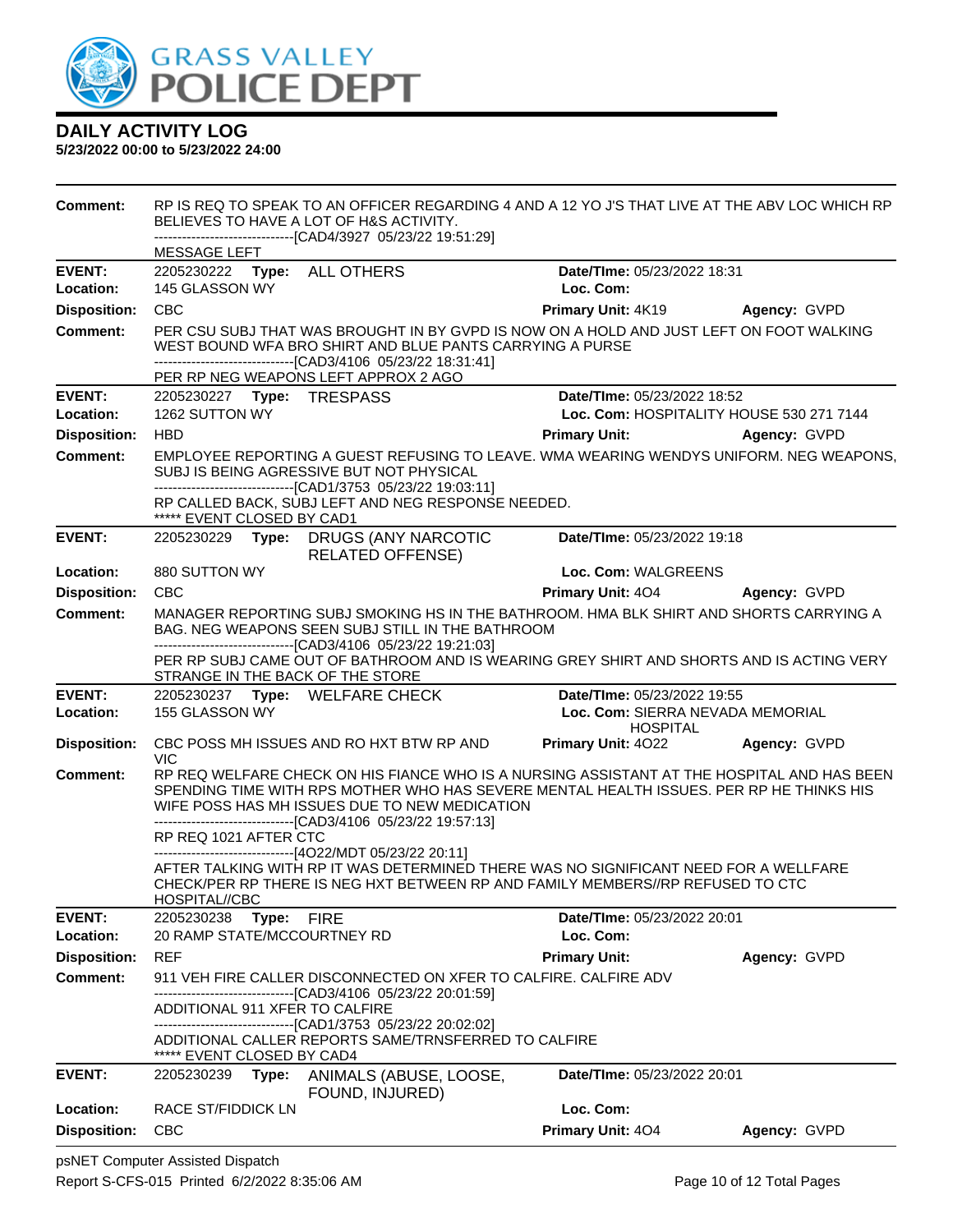

| <b>Comment:</b>     | RP IS REQ TO SPEAK TO AN OFFICER REGARDING 4 AND A 12 YO J'S THAT LIVE AT THE ABV LOC WHICH RP<br>BELIEVES TO HAVE A LOT OF H&S ACTIVITY.<br>--------------------------[CAD4/3927 05/23/22 19:51:29] |                                                                                                                                                                                                                                                                                                         |                                                     |              |  |  |
|---------------------|------------------------------------------------------------------------------------------------------------------------------------------------------------------------------------------------------|---------------------------------------------------------------------------------------------------------------------------------------------------------------------------------------------------------------------------------------------------------------------------------------------------------|-----------------------------------------------------|--------------|--|--|
|                     | MESSAGE LEFT                                                                                                                                                                                         |                                                                                                                                                                                                                                                                                                         |                                                     |              |  |  |
| <b>EVENT:</b>       | 2205230222 Type:                                                                                                                                                                                     | <b>ALL OTHERS</b>                                                                                                                                                                                                                                                                                       | Date/TIme: 05/23/2022 18:31                         |              |  |  |
| Location:           | 145 GLASSON WY                                                                                                                                                                                       |                                                                                                                                                                                                                                                                                                         | Loc. Com:                                           |              |  |  |
| <b>Disposition:</b> | <b>CBC</b>                                                                                                                                                                                           |                                                                                                                                                                                                                                                                                                         | Primary Unit: 4K19                                  | Agency: GVPD |  |  |
| <b>Comment:</b>     |                                                                                                                                                                                                      | PER CSU SUBJ THAT WAS BROUGHT IN BY GVPD IS NOW ON A HOLD AND JUST LEFT ON FOOT WALKING<br>WEST BOUND WFA BRO SHIRT AND BLUE PANTS CARRYING A PURSE<br>---------------------------------[CAD3/4106 05/23/22 18:31:41]<br>PER RP NEG WEAPONS LEFT APPROX 2 AGO                                           |                                                     |              |  |  |
| <b>EVENT:</b>       |                                                                                                                                                                                                      |                                                                                                                                                                                                                                                                                                         | Date/TIme: 05/23/2022 18:52                         |              |  |  |
| Location:           | 1262 SUTTON WY                                                                                                                                                                                       | Loc. Com: HOSPITALITY HOUSE 530 271 7144                                                                                                                                                                                                                                                                |                                                     |              |  |  |
| <b>Disposition:</b> | <b>HBD</b>                                                                                                                                                                                           |                                                                                                                                                                                                                                                                                                         | <b>Primary Unit:</b>                                | Agency: GVPD |  |  |
| Comment:            |                                                                                                                                                                                                      | EMPLOYEE REPORTING A GUEST REFUSING TO LEAVE. WMA WEARING WENDYS UNIFORM. NEG WEAPONS.<br>SUBJ IS BEING AGRESSIVE BUT NOT PHYSICAL<br>----------------------------------[CAD1/3753 05/23/22 19:03:11]                                                                                                   |                                                     |              |  |  |
|                     | ***** EVENT CLOSED BY CAD1                                                                                                                                                                           | RP CALLED BACK, SUBJ LEFT AND NEG RESPONSE NEEDED.                                                                                                                                                                                                                                                      |                                                     |              |  |  |
| <b>EVENT:</b>       |                                                                                                                                                                                                      | 2205230229 Type: DRUGS (ANY NARCOTIC<br><b>RELATED OFFENSE)</b>                                                                                                                                                                                                                                         | Date/TIme: 05/23/2022 19:18                         |              |  |  |
| Location:           | 880 SUTTON WY                                                                                                                                                                                        |                                                                                                                                                                                                                                                                                                         | Loc. Com: WALGREENS                                 |              |  |  |
| <b>Disposition:</b> | <b>CBC</b>                                                                                                                                                                                           |                                                                                                                                                                                                                                                                                                         | <b>Primary Unit: 404</b>                            | Agency: GVPD |  |  |
| <b>Comment:</b>     |                                                                                                                                                                                                      | MANAGER REPORTING SUBJ SMOKING HS IN THE BATHROOM. HMA BLK SHIRT AND SHORTS CARRYING A<br>BAG. NEG WEAPONS SEEN SUBJ STILL IN THE BATHROOM<br>--------------------------------[CAD3/4106 05/23/22 19:21:03]                                                                                             |                                                     |              |  |  |
|                     | STRANGE IN THE BACK OF THE STORE                                                                                                                                                                     | PER RP SUBJ CAME OUT OF BATHROOM AND IS WEARING GREY SHIRT AND SHORTS AND IS ACTING VERY                                                                                                                                                                                                                |                                                     |              |  |  |
| <b>EVENT:</b>       | 2205230237 Type: WELFARE CHECK                                                                                                                                                                       |                                                                                                                                                                                                                                                                                                         | Date/TIme: 05/23/2022 19:55                         |              |  |  |
| Location:           | 155 GLASSON WY                                                                                                                                                                                       |                                                                                                                                                                                                                                                                                                         | Loc. Com: SIERRA NEVADA MEMORIAL<br><b>HOSPITAL</b> |              |  |  |
| <b>Disposition:</b> | <b>VIC</b>                                                                                                                                                                                           | CBC POSS MH ISSUES AND RO HXT BTW RP AND                                                                                                                                                                                                                                                                | <b>Primary Unit: 4022</b>                           | Agency: GVPD |  |  |
| Comment:            |                                                                                                                                                                                                      | RP REQ WELFARE CHECK ON HIS FIANCE WHO IS A NURSING ASSISTANT AT THE HOSPITAL AND HAS BEEN<br>SPENDING TIME WITH RPS MOTHER WHO HAS SEVERE MENTAL HEALTH ISSUES. PER RP HE THINKS HIS<br>WIFE POSS HAS MH ISSUES DUE TO NEW MEDICATION<br>--------------------------------[CAD3/4106 05/23/22 19:57:13] |                                                     |              |  |  |
|                     | RP REQ 1021 AFTER CTC                                                                                                                                                                                |                                                                                                                                                                                                                                                                                                         |                                                     |              |  |  |
|                     |                                                                                                                                                                                                      | -----------------------[4O22/MDT 05/23/22 20:11]                                                                                                                                                                                                                                                        |                                                     |              |  |  |
|                     | HOSPITAL//CBC                                                                                                                                                                                        | AFTER TALKING WITH RP IT WAS DETERMINED THERE WAS NO SIGNIFICANT NEED FOR A WELLFARE<br>CHECK/PER RP THERE IS NEG HXT BETWEEN RP AND FAMILY MEMBERS//RP REFUSED TO CTC                                                                                                                                  |                                                     |              |  |  |
| <b>EVENT:</b>       | 2205230238<br>Type:                                                                                                                                                                                  | <b>FIRE</b>                                                                                                                                                                                                                                                                                             | Date/TIme: 05/23/2022 20:01                         |              |  |  |
| Location:           | 20 RAMP STATE/MCCOURTNEY RD                                                                                                                                                                          |                                                                                                                                                                                                                                                                                                         | Loc. Com:                                           |              |  |  |
| <b>Disposition:</b> | <b>REF</b>                                                                                                                                                                                           |                                                                                                                                                                                                                                                                                                         | <b>Primary Unit:</b>                                | Agency: GVPD |  |  |
| <b>Comment:</b>     |                                                                                                                                                                                                      | 911 VEH FIRE CALLER DISCONNECTED ON XFER TO CALFIRE. CALFIRE ADV                                                                                                                                                                                                                                        |                                                     |              |  |  |
|                     | ADDITIONAL 911 XFER TO CALFIRE                                                                                                                                                                       | --------------------[CAD3/4106_05/23/22 20:01:59]                                                                                                                                                                                                                                                       |                                                     |              |  |  |
|                     |                                                                                                                                                                                                      | --------------------------------[CAD1/3753 05/23/22 20:02:02]                                                                                                                                                                                                                                           |                                                     |              |  |  |
|                     | ***** EVENT CLOSED BY CAD4                                                                                                                                                                           | ADDITIONAL CALLER REPORTS SAME/TRNSFERRED TO CALFIRE                                                                                                                                                                                                                                                    |                                                     |              |  |  |
| <b>EVENT:</b>       | 2205230239<br>Type:                                                                                                                                                                                  | ANIMALS (ABUSE, LOOSE,<br>FOUND, INJURED)                                                                                                                                                                                                                                                               | Date/TIme: 05/23/2022 20:01                         |              |  |  |
| Location:           | <b>RACE ST/FIDDICK LN</b>                                                                                                                                                                            |                                                                                                                                                                                                                                                                                                         | Loc. Com:                                           |              |  |  |
| <b>Disposition:</b> | <b>CBC</b>                                                                                                                                                                                           |                                                                                                                                                                                                                                                                                                         | Primary Unit: 404                                   | Agency: GVPD |  |  |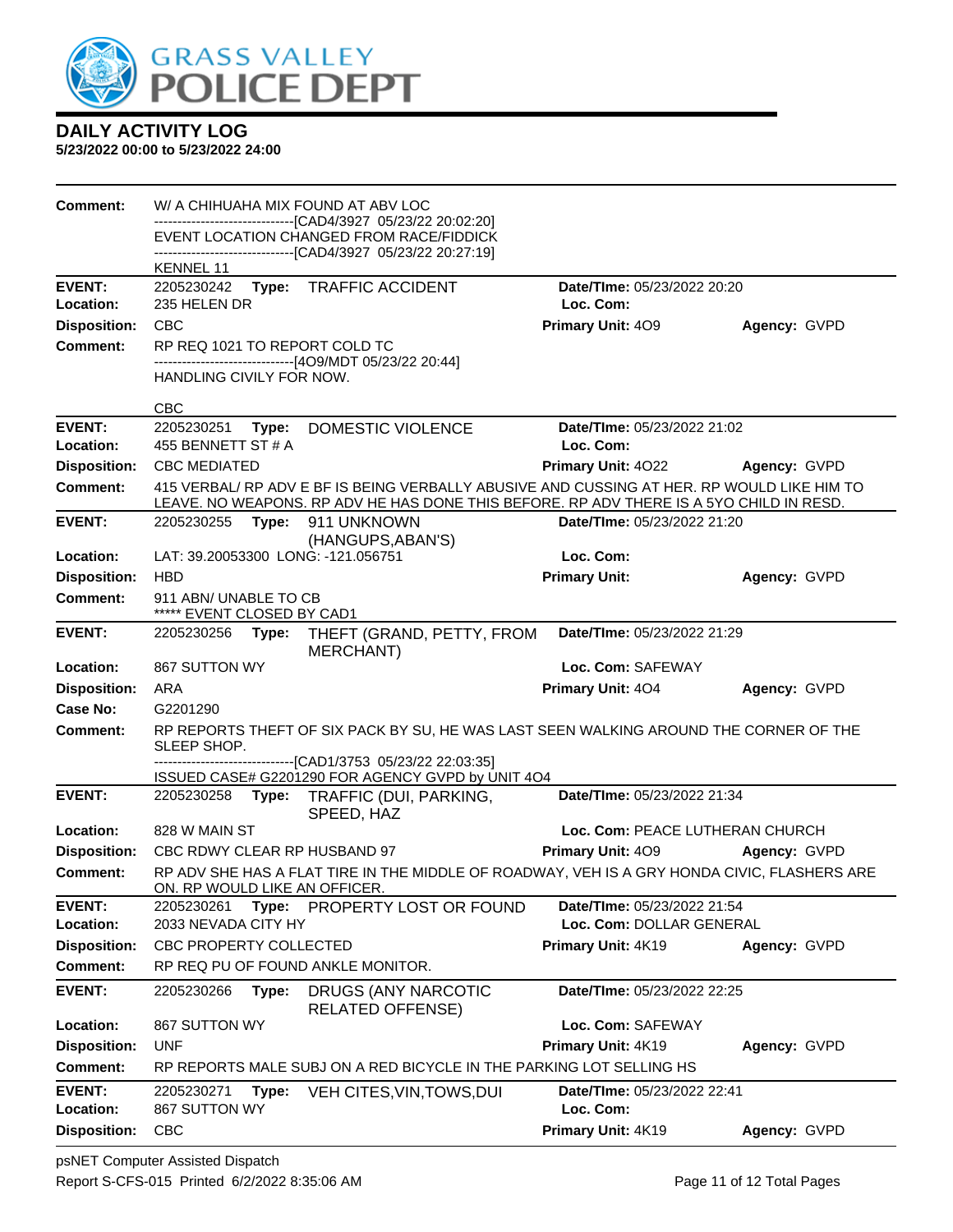

| Comment:                   |                                                     |       | W/ A CHIHUAHA MIX FOUND AT ABV LOC                                                                       |                                                         |              |
|----------------------------|-----------------------------------------------------|-------|----------------------------------------------------------------------------------------------------------|---------------------------------------------------------|--------------|
|                            |                                                     |       | -------------------------------[CAD4/3927 05/23/22 20:02:20]<br>EVENT LOCATION CHANGED FROM RACE/FIDDICK |                                                         |              |
|                            | KENNEL 11                                           |       | --------------------------[CAD4/3927 05/23/22 20:27:19]                                                  |                                                         |              |
| <b>EVENT:</b>              | 2205230242 Type:                                    |       | <b>TRAFFIC ACCIDENT</b>                                                                                  | Date/TIme: 05/23/2022 20:20                             |              |
| Location:                  | 235 HELEN DR                                        |       |                                                                                                          | Loc. Com:                                               |              |
| <b>Disposition:</b>        | <b>CBC</b>                                          |       |                                                                                                          | <b>Primary Unit: 409</b>                                | Agency: GVPD |
| <b>Comment:</b>            |                                                     |       | RP REQ 1021 TO REPORT COLD TC<br>------------------------------[4O9/MDT 05/23/22 20:44]                  |                                                         |              |
|                            | HANDLING CIVILY FOR NOW.                            |       |                                                                                                          |                                                         |              |
|                            | <b>CBC</b>                                          |       |                                                                                                          |                                                         |              |
| <b>EVENT:</b>              | 2205230251                                          | Type: | DOMESTIC VIOLENCE                                                                                        | Date/TIme: 05/23/2022 21:02                             |              |
| Location:                  | 455 BENNETT ST # A                                  |       |                                                                                                          | Loc. Com:                                               |              |
| <b>Disposition:</b>        | <b>CBC MEDIATED</b>                                 |       |                                                                                                          | <b>Primary Unit: 4022</b>                               | Agency: GVPD |
| <b>Comment:</b>            |                                                     |       | 415 VERBAL/ RP ADV E BF IS BEING VERBALLY ABUSIVE AND CUSSING AT HER. RP WOULD LIKE HIM TO               |                                                         |              |
|                            |                                                     |       | LEAVE. NO WEAPONS. RP ADV HE HAS DONE THIS BEFORE. RP ADV THERE IS A 5YO CHILD IN RESD.                  |                                                         |              |
| <b>EVENT:</b>              | 2205230255 Type:                                    |       | 911 UNKNOWN<br>(HANGUPS, ABAN'S)                                                                         | Date/TIme: 05/23/2022 21:20                             |              |
| Location:                  |                                                     |       | LAT: 39.20053300 LONG: -121.056751                                                                       | Loc. Com:                                               |              |
| <b>Disposition:</b>        | <b>HBD</b>                                          |       |                                                                                                          | <b>Primary Unit:</b>                                    | Agency: GVPD |
| <b>Comment:</b>            | 911 ABN/ UNABLE TO CB<br>***** EVENT CLOSED BY CAD1 |       |                                                                                                          |                                                         |              |
| <b>EVENT:</b>              |                                                     |       | 2205230256 Type: THEFT (GRAND, PETTY, FROM<br>MERCHANT)                                                  | Date/TIme: 05/23/2022 21:29                             |              |
| Location:                  | 867 SUTTON WY                                       |       |                                                                                                          | Loc. Com: SAFEWAY                                       |              |
| <b>Disposition:</b>        | ARA                                                 |       |                                                                                                          | Primary Unit: 404                                       | Agency: GVPD |
| Case No:                   | G2201290                                            |       |                                                                                                          |                                                         |              |
| <b>Comment:</b>            | SLEEP SHOP.                                         |       | RP REPORTS THEFT OF SIX PACK BY SU, HE WAS LAST SEEN WALKING AROUND THE CORNER OF THE                    |                                                         |              |
|                            |                                                     |       | -----------------------[CAD1/3753_05/23/22 22:03:35]                                                     |                                                         |              |
| <b>EVENT:</b>              |                                                     |       | ISSUED CASE# G2201290 FOR AGENCY GVPD by UNIT 4O4<br>2205230258 Type: TRAFFIC (DUI, PARKING,             | Date/TIme: 05/23/2022 21:34                             |              |
|                            |                                                     |       | SPEED, HAZ                                                                                               |                                                         |              |
| Location:                  | 828 W MAIN ST                                       |       |                                                                                                          | Loc. Com: PEACE LUTHERAN CHURCH                         |              |
| <b>Disposition:</b>        |                                                     |       | CBC RDWY CLEAR RP HUSBAND 97                                                                             | Primary Unit: 409                                       | Agency: GVPD |
| Comment:                   | ON. RP WOULD LIKE AN OFFICER.                       |       | RP ADV SHE HAS A FLAT TIRE IN THE MIDDLE OF ROADWAY, VEH IS A GRY HONDA CIVIC, FLASHERS ARE              |                                                         |              |
| <b>EVENT:</b><br>Location: | 2205230261<br>2033 NEVADA CITY HY                   |       | Type: PROPERTY LOST OR FOUND                                                                             | Date/TIme: 05/23/2022 21:54<br>Loc. Com: DOLLAR GENERAL |              |
| <b>Disposition:</b>        | CBC PROPERTY COLLECTED                              |       |                                                                                                          | Primary Unit: 4K19                                      | Agency: GVPD |
| <b>Comment:</b>            |                                                     |       | RP REQ PU OF FOUND ANKLE MONITOR.                                                                        |                                                         |              |
| <b>EVENT:</b>              | 2205230266                                          | Type: | DRUGS (ANY NARCOTIC<br><b>RELATED OFFENSE)</b>                                                           | Date/TIme: 05/23/2022 22:25                             |              |
| Location:                  | 867 SUTTON WY                                       |       |                                                                                                          | Loc. Com: SAFEWAY                                       |              |
| <b>Disposition:</b>        | <b>UNF</b>                                          |       |                                                                                                          | Primary Unit: 4K19                                      | Agency: GVPD |
| <b>Comment:</b>            |                                                     |       | RP REPORTS MALE SUBJ ON A RED BICYCLE IN THE PARKING LOT SELLING HS                                      |                                                         |              |
| <b>EVENT:</b>              | 2205230271                                          | Type: | VEH CITES, VIN, TOWS, DUI                                                                                | Date/TIme: 05/23/2022 22:41                             |              |
| Location:                  | 867 SUTTON WY                                       |       |                                                                                                          | Loc. Com:                                               |              |
| <b>Disposition:</b>        | <b>CBC</b>                                          |       |                                                                                                          | Primary Unit: 4K19                                      | Agency: GVPD |